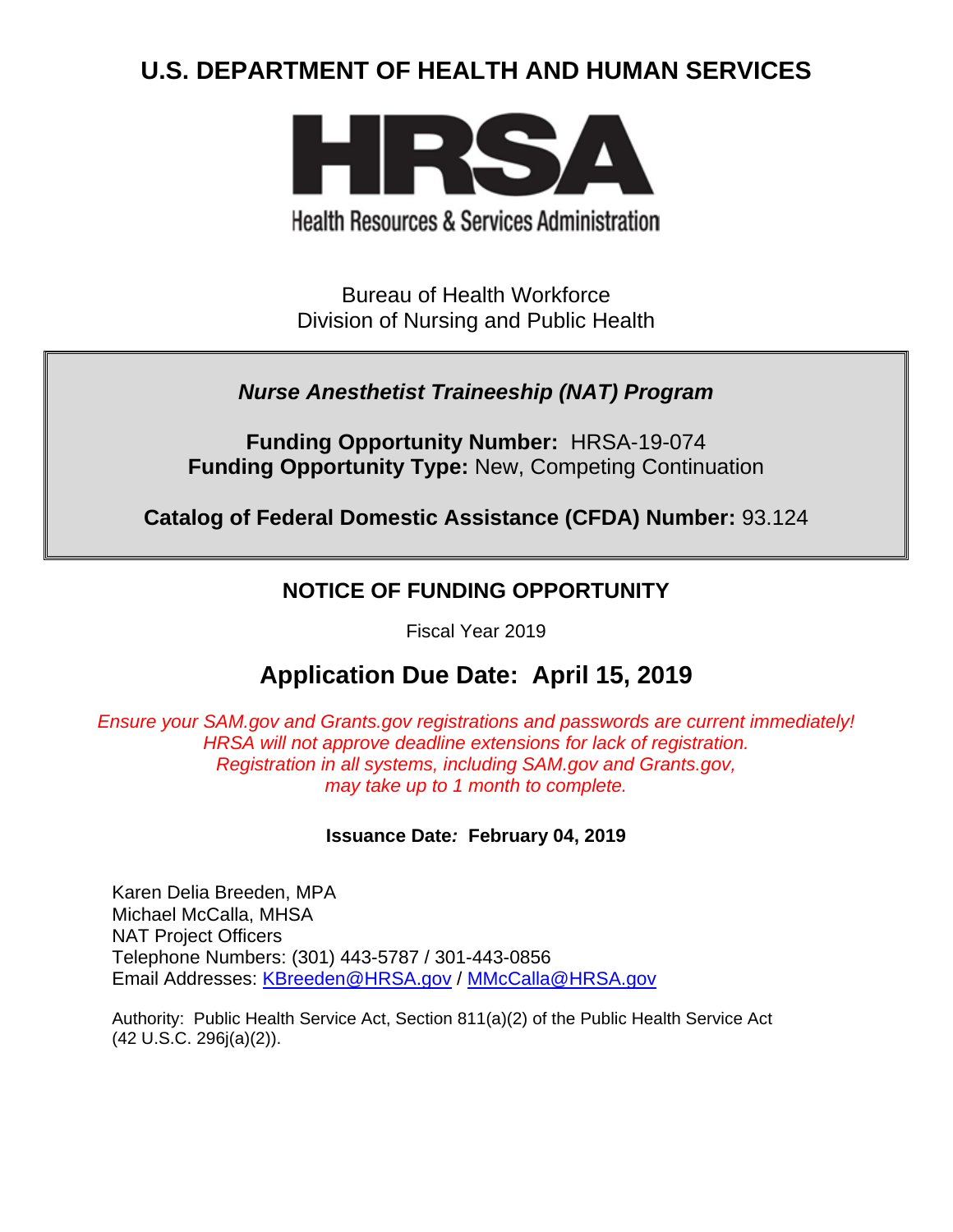# **U.S. DEPARTMENT OF HEALTH AND HUMAN SERVICES**



**Health Resources & Services Administration** 

Bureau of Health Workforce Division of Nursing and Public Health

## *Nurse Anesthetist Traineeship (NAT) Program*

**Funding Opportunity Number:** HRSA-19-074 **Funding Opportunity Type:** New, Competing Continuation

**Catalog of Federal Domestic Assistance (CFDA) Number:** 93.124

## **NOTICE OF FUNDING OPPORTUNITY**

Fiscal Year 2019

# **Application Due Date: April 15, 2019**

*Ensure your SAM.gov and Grants.gov registrations and passwords are current immediately! HRSA will not approve deadline extensions for lack of registration. Registration in all systems, including SAM.gov and Grants.gov, may take up to 1 month to complete.*

## **Issuance Date***:* **February 04, 2019**

Karen Delia Breeden, MPA Michael McCalla, MHSA NAT Project Officers Telephone Numbers: (301) 443-5787 / 301-443-0856 Email Addresses: [KBreeden@HRSA.gov](mailto:KBreeden@HRSA.gov) / [MMcCalla@HRSA.gov](mailto:MMcCalla@HRSA.gov)

Authority: Public Health Service Act, Section 811(a)(2) of the Public Health Service Act (42 U.S.C. 296j(a)(2)).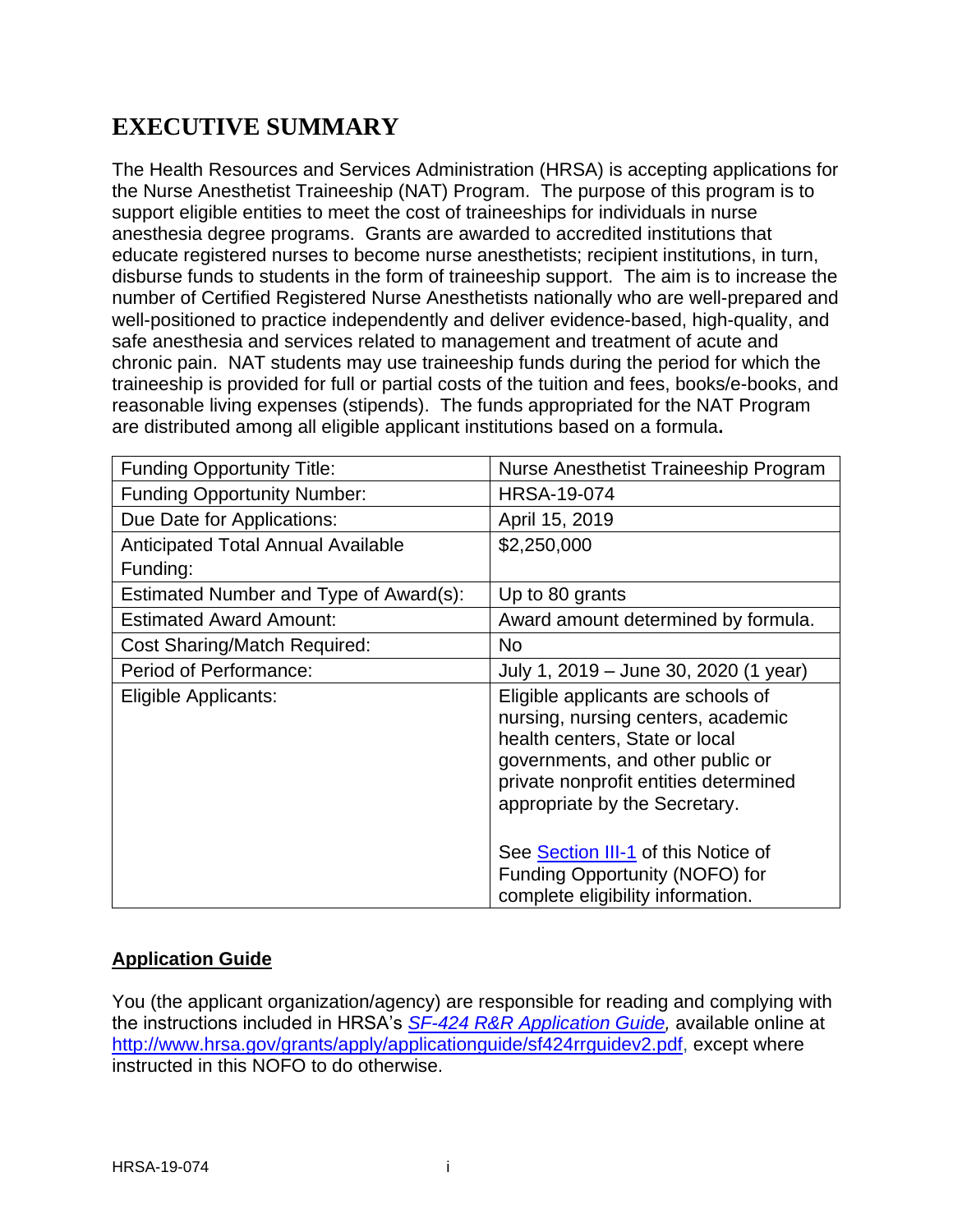# **EXECUTIVE SUMMARY**

The Health Resources and Services Administration (HRSA) is accepting applications for the Nurse Anesthetist Traineeship (NAT) Program. The purpose of this program is to support eligible entities to meet the cost of traineeships for individuals in nurse anesthesia degree programs. Grants are awarded to accredited institutions that educate registered nurses to become nurse anesthetists; recipient institutions, in turn, disburse funds to students in the form of traineeship support. The aim is to increase the number of Certified Registered Nurse Anesthetists nationally who are well-prepared and well-positioned to practice independently and deliver evidence-based, high-quality, and safe anesthesia and services related to management and treatment of acute and chronic pain. NAT students may use traineeship funds during the period for which the traineeship is provided for full or partial costs of the tuition and fees, books/e-books, and reasonable living expenses (stipends). The funds appropriated for the NAT Program are distributed among all eligible applicant institutions based on a formula**.** 

| <b>Funding Opportunity Title:</b>      | Nurse Anesthetist Traineeship Program                                                                                                                                                                                    |  |  |
|----------------------------------------|--------------------------------------------------------------------------------------------------------------------------------------------------------------------------------------------------------------------------|--|--|
| <b>Funding Opportunity Number:</b>     | <b>HRSA-19-074</b>                                                                                                                                                                                                       |  |  |
| Due Date for Applications:             | April 15, 2019                                                                                                                                                                                                           |  |  |
| Anticipated Total Annual Available     | \$2,250,000                                                                                                                                                                                                              |  |  |
| Funding:                               |                                                                                                                                                                                                                          |  |  |
| Estimated Number and Type of Award(s): | Up to 80 grants                                                                                                                                                                                                          |  |  |
| <b>Estimated Award Amount:</b>         | Award amount determined by formula.                                                                                                                                                                                      |  |  |
| <b>Cost Sharing/Match Required:</b>    | <b>No</b>                                                                                                                                                                                                                |  |  |
| Period of Performance:                 | July 1, 2019 – June 30, 2020 (1 year)                                                                                                                                                                                    |  |  |
| Eligible Applicants:                   | Eligible applicants are schools of<br>nursing, nursing centers, academic<br>health centers, State or local<br>governments, and other public or<br>private nonprofit entities determined<br>appropriate by the Secretary. |  |  |
|                                        | See Section III-1 of this Notice of<br>Funding Opportunity (NOFO) for<br>complete eligibility information.                                                                                                               |  |  |

## **Application Guide**

You (the applicant organization/agency) are responsible for reading and complying with the instructions included in HRSA's *SF-424 [R&R Application Guide,](http://www.hrsa.gov/grants/apply/applicationguide/sf424rrguidev2.pdf)* available online at [http://www.hrsa.gov/grants/apply/applicationguide/sf424rrguidev2.pdf,](http://www.hrsa.gov/grants/apply/applicationguide/sf424rrguidev2.pdf) except where instructed in this NOFO to do otherwise.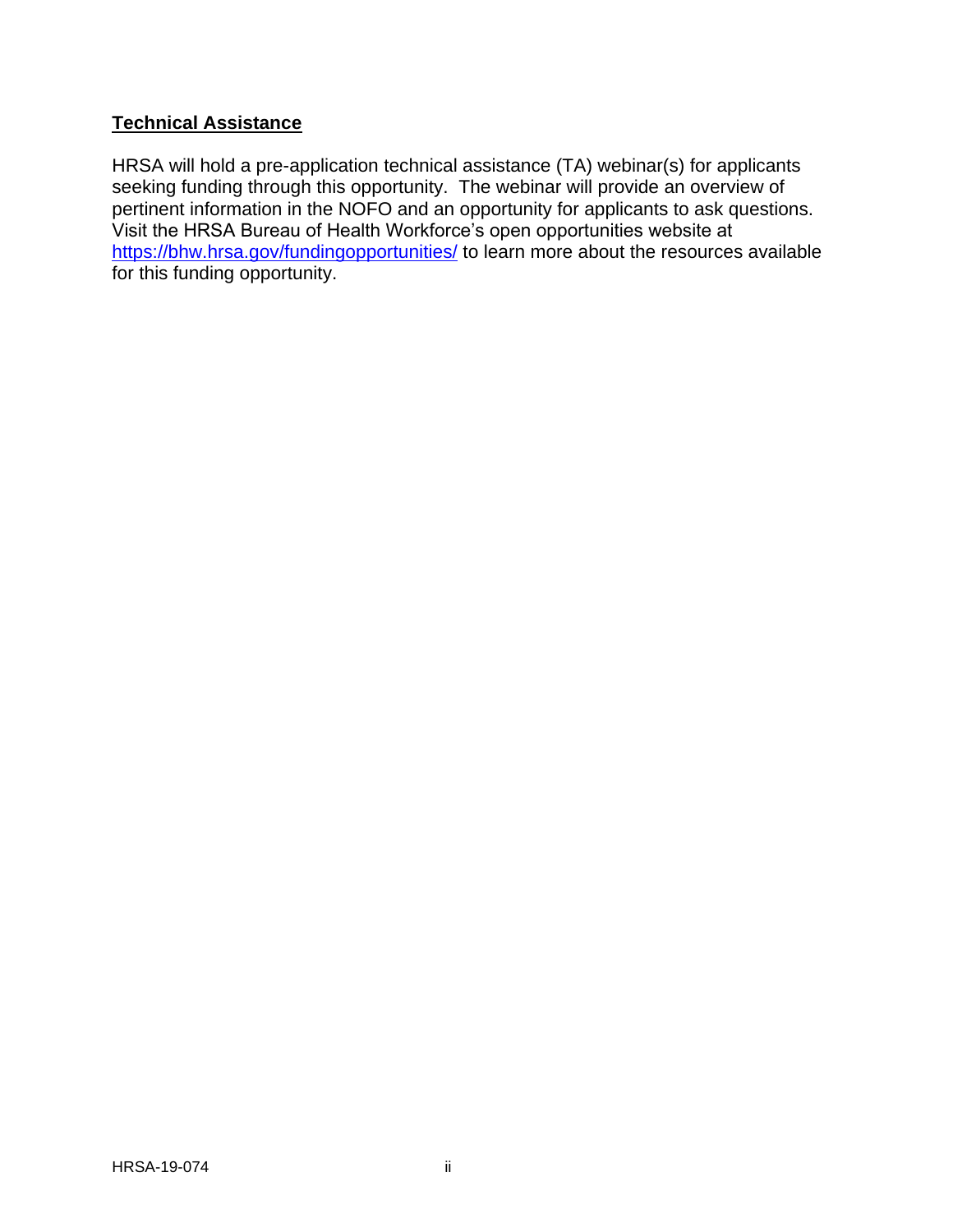## **Technical Assistance**

HRSA will hold a pre-application technical assistance (TA) webinar(s) for applicants seeking funding through this opportunity. The webinar will provide an overview of pertinent information in the NOFO and an opportunity for applicants to ask questions. Visit the HRSA Bureau of Health Workforce's open opportunities website at <https://bhw.hrsa.gov/fundingopportunities/> to learn more about the resources available for this funding opportunity.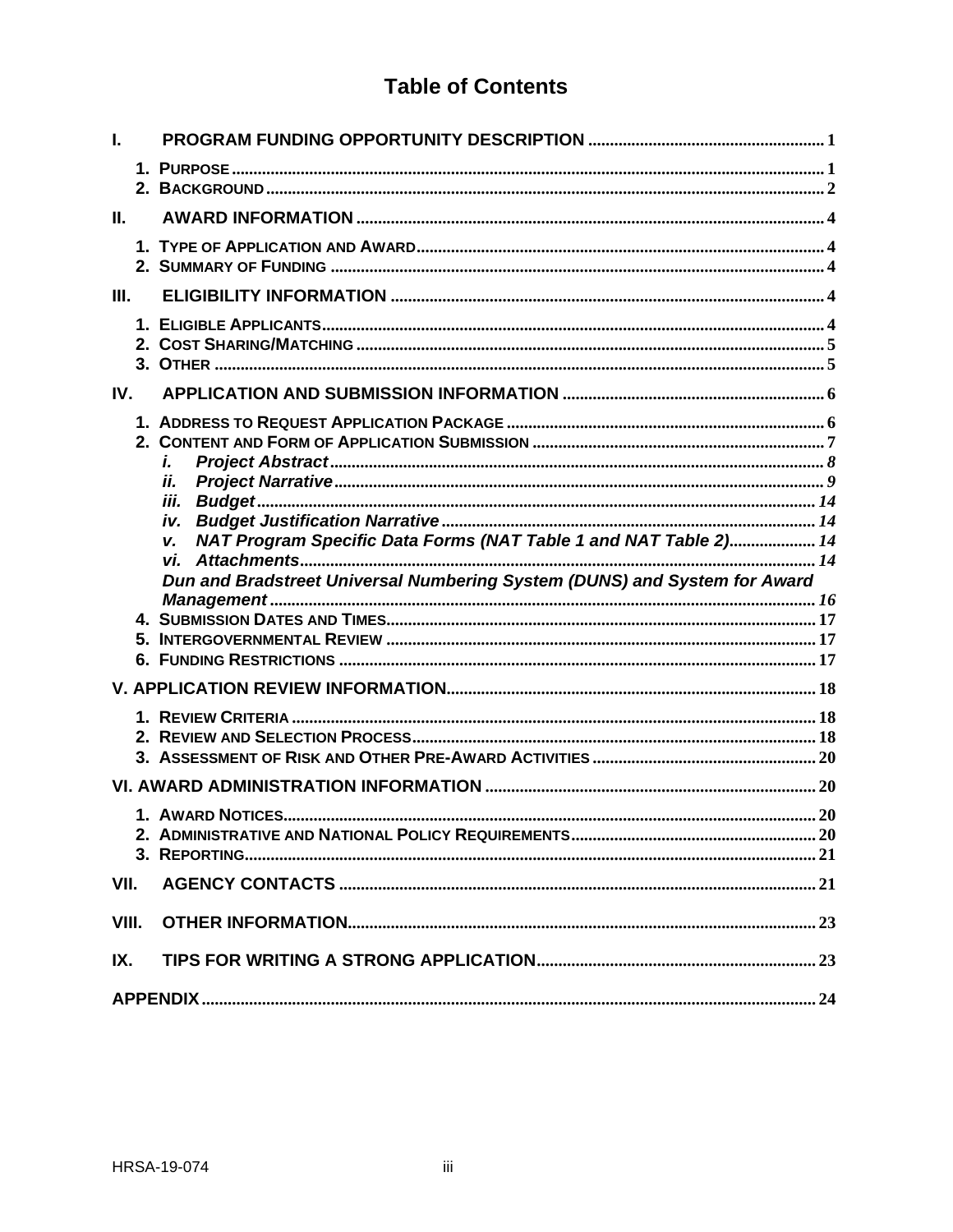# **Table of Contents**

| I.    |                                                                           |  |
|-------|---------------------------------------------------------------------------|--|
|       |                                                                           |  |
| II.   |                                                                           |  |
|       |                                                                           |  |
| III.  |                                                                           |  |
|       |                                                                           |  |
| IV.   |                                                                           |  |
|       | i.<br>ii.<br>iii.                                                         |  |
|       | NAT Program Specific Data Forms (NAT Table 1 and NAT Table 2) 14<br>v.    |  |
|       | Dun and Bradstreet Universal Numbering System (DUNS) and System for Award |  |
|       |                                                                           |  |
|       |                                                                           |  |
|       |                                                                           |  |
|       |                                                                           |  |
|       |                                                                           |  |
|       |                                                                           |  |
|       |                                                                           |  |
|       |                                                                           |  |
|       |                                                                           |  |
|       |                                                                           |  |
| VII.  |                                                                           |  |
|       |                                                                           |  |
| VIII. |                                                                           |  |
| IX.   |                                                                           |  |
|       |                                                                           |  |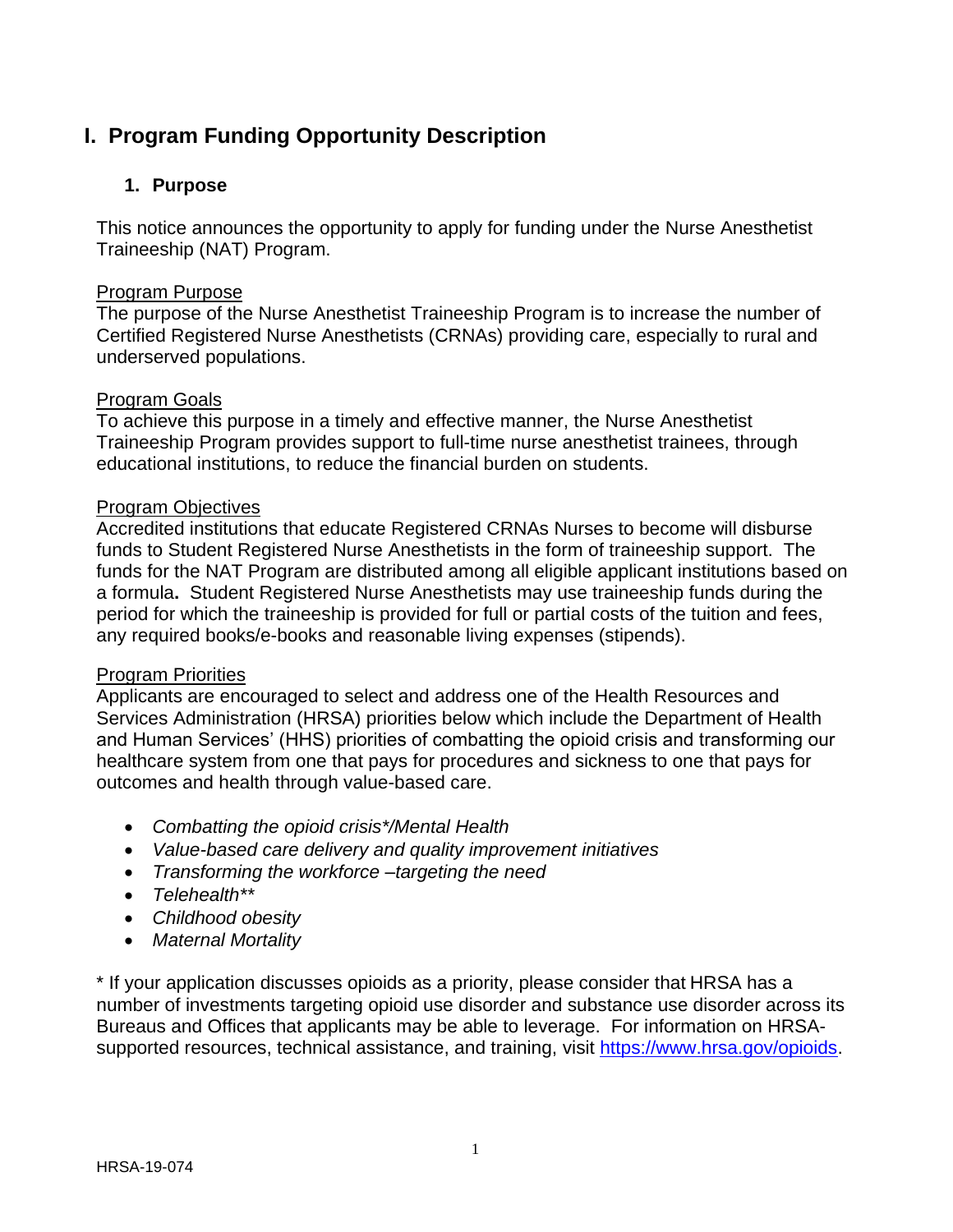# <span id="page-4-0"></span>**I. Program Funding Opportunity Description**

## <span id="page-4-1"></span>**1. Purpose**

This notice announces the opportunity to apply for funding under the Nurse Anesthetist Traineeship (NAT) Program.

#### Program Purpose

The purpose of the Nurse Anesthetist Traineeship Program is to increase the number of Certified Registered Nurse Anesthetists (CRNAs) providing care, especially to rural and underserved populations.

#### Program Goals

To achieve this purpose in a timely and effective manner, the Nurse Anesthetist Traineeship Program provides support to full-time nurse anesthetist trainees, through educational institutions, to reduce the financial burden on students.

#### Program Objectives

Accredited institutions that educate Registered CRNAs Nurses to become will disburse funds to Student Registered Nurse Anesthetists in the form of traineeship support. The funds for the NAT Program are distributed among all eligible applicant institutions based on a formula**.** Student Registered Nurse Anesthetists may use traineeship funds during the period for which the traineeship is provided for full or partial costs of the tuition and fees, any required books/e-books and reasonable living expenses (stipends).

#### Program Priorities

Applicants are encouraged to select and address one of the Health Resources and Services Administration (HRSA) priorities below which include the Department of Health and Human Services' (HHS) priorities of combatting the opioid crisis and transforming our healthcare system from one that pays for procedures and sickness to one that pays for outcomes and health through value-based care.

- *Combatting the opioid crisis\*/Mental Health*
- *Value-based care delivery and quality improvement initiatives*
- *Transforming the workforce –targeting the need*
- *Telehealth\*\**
- *Childhood obesity*
- *Maternal Mortality*

\* If your application discusses opioids as a priority, please consider that HRSA has a number of investments targeting opioid use disorder and substance use disorder across its Bureaus and Offices that applicants may be able to leverage. For information on HRSAsupported resources, technical assistance, and training, visit [https://www.hrsa.gov/opioids.](https://www.hrsa.gov/opioids)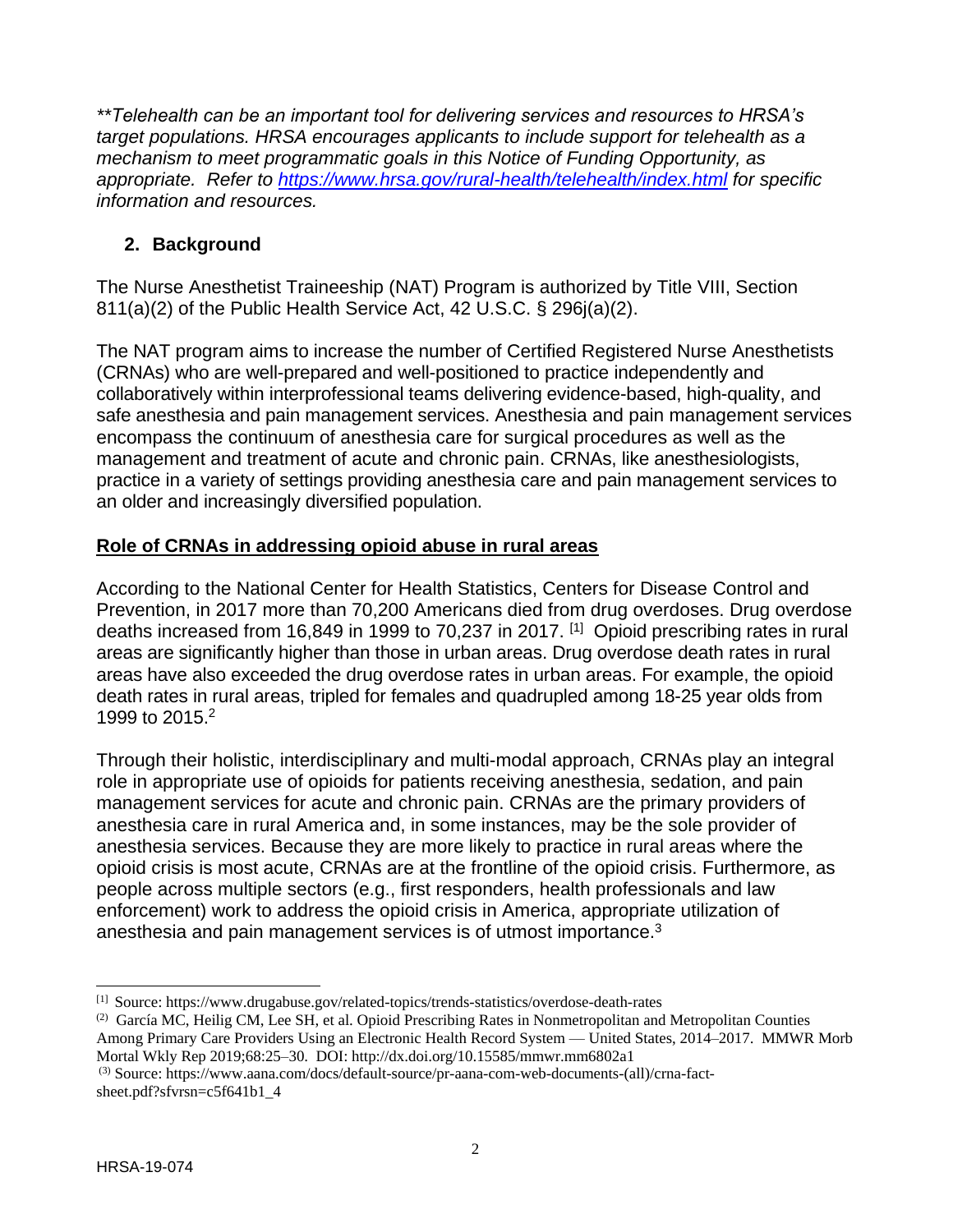*\*\*Telehealth can be an important tool for delivering services and resources to HRSA's target populations. HRSA encourages applicants to include support for telehealth as a mechanism to meet programmatic goals in this Notice of Funding Opportunity, as appropriate. Refer to<https://www.hrsa.gov/rural-health/telehealth/index.html> for specific information and resources.*

## <span id="page-5-0"></span>**2. Background**

The Nurse Anesthetist Traineeship (NAT) Program is authorized by Title VIII, Section 811(a)(2) of the Public Health Service Act, 42 U.S.C. § 296j(a)(2).

The NAT program aims to increase the number of Certified Registered Nurse Anesthetists (CRNAs) who are well-prepared and well-positioned to practice independently and collaboratively within interprofessional teams delivering evidence-based, high-quality, and safe anesthesia and pain management services. Anesthesia and pain management services encompass the continuum of anesthesia care for surgical procedures as well as the management and treatment of acute and chronic pain. CRNAs, like anesthesiologists, practice in a variety of settings providing anesthesia care and pain management services to an older and increasingly diversified population.

## **Role of CRNAs in addressing opioid abuse in rural areas**

According to the National Center for Health Statistics, Centers for Disease Control and Prevention, in 2017 more than 70,200 Americans died from drug overdoses. Drug overdose deaths increased from 16,849 in 1999 to 70,237 in 2017. [1] Opioid prescribing rates in rural areas are significantly higher than those in urban areas. Drug overdose death rates in rural areas have also exceeded the drug overdose rates in urban areas. For example, the opioid death rates in rural areas, tripled for females and quadrupled among 18-25 year olds from 1999 to 2015. 2

Through their holistic, interdisciplinary and multi-modal approach, CRNAs play an integral role in appropriate use of opioids for patients receiving anesthesia, sedation, and pain management services for acute and chronic pain. CRNAs are the primary providers of anesthesia care in rural America and, in some instances, may be the sole provider of anesthesia services. Because they are more likely to practice in rural areas where the opioid crisis is most acute, CRNAs are at the frontline of the opioid crisis. Furthermore, as people across multiple sectors (e.g., first responders, health professionals and law enforcement) work to address the opioid crisis in America, appropriate utilization of anesthesia and pain management services is of utmost importance.<sup>3</sup>

l

<sup>[1]</sup> Source[: https://www.drugabuse.gov/related-topics/trends-statistics/overdose-death-rates](https://www.drugabuse.gov/related-topics/trends-statistics/overdose-death-rates)

<sup>(2)</sup> García MC, Heilig CM, Lee SH, et al. Opioid Prescribing Rates in Nonmetropolitan and Metropolitan Counties Among Primary Care Providers Using an Electronic Health Record System — United States, 2014–2017. MMWR Morb Mortal Wkly Rep 2019;68:25–30. DOI: http://dx.doi.org/10.15585/mmwr.mm6802a1

<sup>(3)</sup> Source[: https://www.aana.com/docs/default-source/pr-aana-com-web-documents-\(all\)/crna-fact](https://www.aana.com/docs/default-source/pr-aana-com-web-documents-(all)/crna-fact-sheet.pdf?sfvrsn=c5f641b1_4)[sheet.pdf?sfvrsn=c5f641b1\\_4](https://www.aana.com/docs/default-source/pr-aana-com-web-documents-(all)/crna-fact-sheet.pdf?sfvrsn=c5f641b1_4)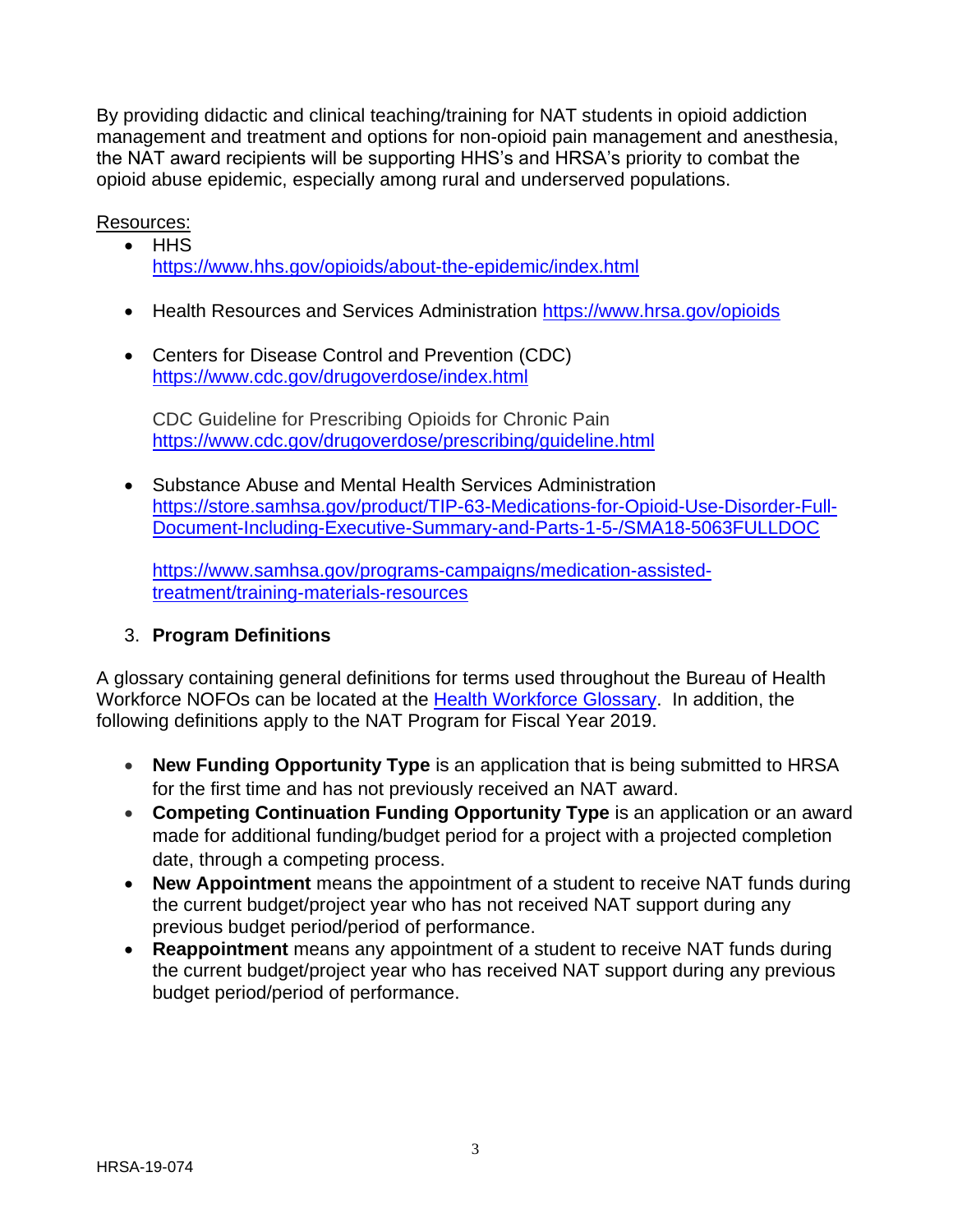By providing didactic and clinical teaching/training for NAT students in opioid addiction management and treatment and options for non-opioid pain management and anesthesia, the NAT award recipients will be supporting HHS's and HRSA's priority to combat the opioid abuse epidemic, especially among rural and underserved populations.

Resources:

- HHS <https://www.hhs.gov/opioids/about-the-epidemic/index.html>
- Health Resources and Services Administration<https://www.hrsa.gov/opioids>
- Centers for Disease Control and Prevention (CDC) <https://www.cdc.gov/drugoverdose/index.html>

CDC Guideline for Prescribing Opioids for Chronic Pain <https://www.cdc.gov/drugoverdose/prescribing/guideline.html>

 Substance Abuse and Mental Health Services Administration [https://store.samhsa.gov/product/TIP-63-Medications-for-Opioid-Use-Disorder-Full-](https://store.samhsa.gov/product/TIP-63-Medications-for-Opioid-Use-Disorder-Full-Document-Including-Executive-Summary-and-Parts-1-5-/SMA18-5063FULLDOC)[Document-Including-Executive-Summary-and-Parts-1-5-/SMA18-5063FULLDOC](https://store.samhsa.gov/product/TIP-63-Medications-for-Opioid-Use-Disorder-Full-Document-Including-Executive-Summary-and-Parts-1-5-/SMA18-5063FULLDOC)

[https://www.samhsa.gov/programs-campaigns/medication-assisted](https://www.samhsa.gov/programs-campaigns/medication-assisted-treatment/training-materials-resources)[treatment/training-materials-resources](https://www.samhsa.gov/programs-campaigns/medication-assisted-treatment/training-materials-resources)

## 3. **Program Definitions**

A glossary containing general definitions for terms used throughout the Bureau of Health Workforce NOFOs can be located at the [Health Workforce Glossary.](https://bhw.hrsa.gov/grants/resourcecenter/glossary) In addition, the following definitions apply to the NAT Program for Fiscal Year 2019.

- **New Funding Opportunity Type** is an application that is being submitted to HRSA for the first time and has not previously received an NAT award.
- **Competing Continuation Funding Opportunity Type** is an application or an award made for additional funding/budget period for a project with a projected completion date, through a competing process.
- **New Appointment** means the appointment of a student to receive NAT funds during the current budget/project year who has not received NAT support during any previous budget period/period of performance.
- **Reappointment** means any appointment of a student to receive NAT funds during the current budget/project year who has received NAT support during any previous budget period/period of performance.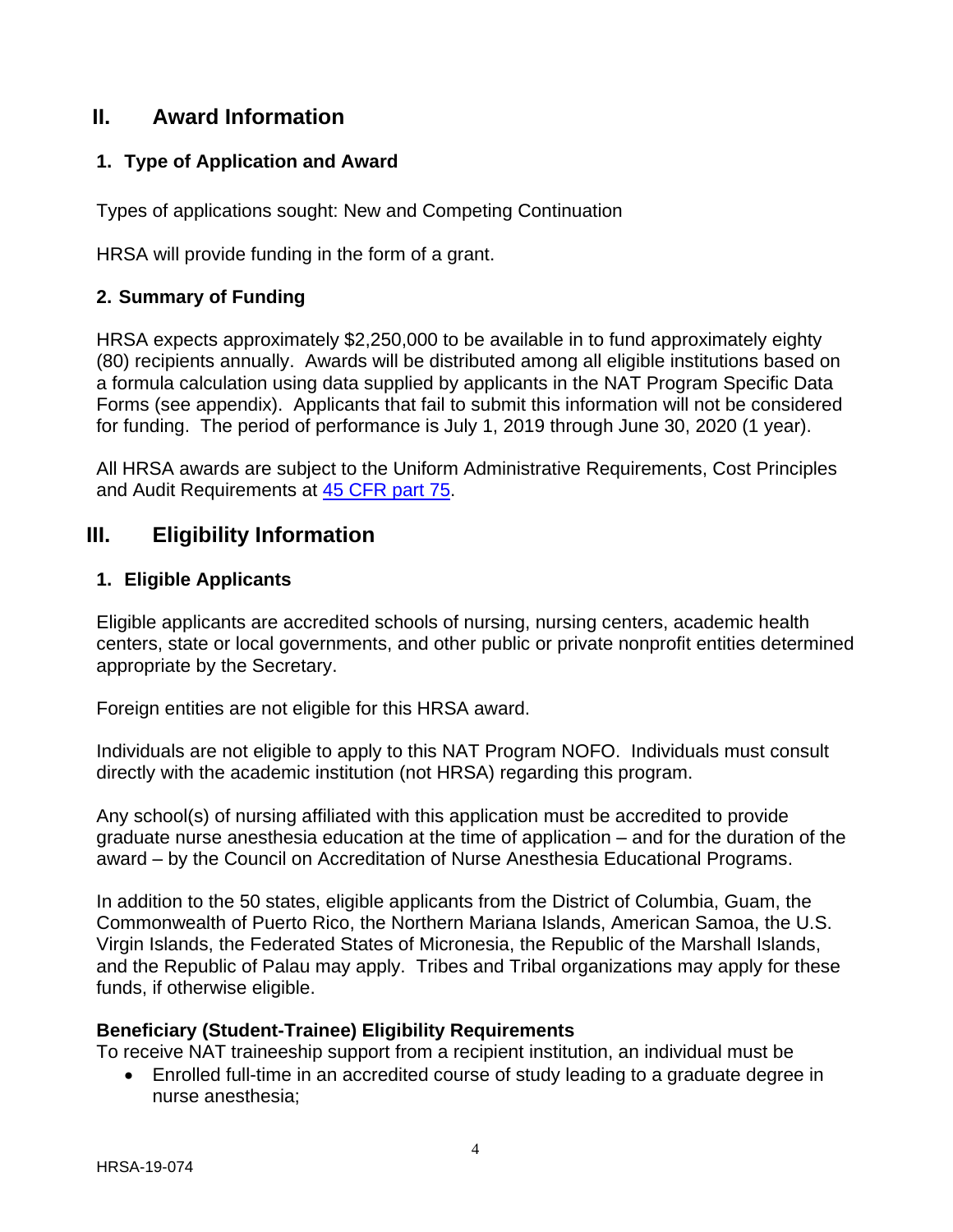## <span id="page-7-1"></span>**II. Award Information**

#### <span id="page-7-2"></span>**1. Type of Application and Award**

Types of applications sought: New and Competing Continuation

HRSA will provide funding in the form of a grant.

#### <span id="page-7-3"></span>**2. Summary of Funding**

HRSA expects approximately \$2,250,000 to be available in to fund approximately eighty (80) recipients annually. Awards will be distributed among all eligible institutions based on a formula calculation using data supplied by applicants in the NAT Program Specific Data Forms (see appendix). Applicants that fail to submit this information will not be considered for funding. The period of performance is July 1, 2019 through June 30, 2020 (1 year).

All HRSA awards are subject to the Uniform Administrative Requirements, Cost Principles and Audit Requirements at [45 CFR part 75.](http://www.ecfr.gov/cgi-bin/retrieveECFR?gp=1&SID=4d52364ec83fab994c665943dadf9cf7&ty=HTML&h=L&r=PART&n=pt45.1.75)

## <span id="page-7-4"></span>**III. Eligibility Information**

#### <span id="page-7-0"></span>**1. Eligible Applicants**

Eligible applicants are accredited schools of nursing, nursing centers, academic health centers, state or local governments, and other public or private nonprofit entities determined appropriate by the Secretary.

Foreign entities are not eligible for this HRSA award.

Individuals are not eligible to apply to this NAT Program NOFO. Individuals must consult directly with the academic institution (not HRSA) regarding this program.

Any school(s) of nursing affiliated with this application must be accredited to provide graduate nurse anesthesia education at the time of application – and for the duration of the award – by the Council on Accreditation of Nurse Anesthesia Educational Programs.

In addition to the 50 states, eligible applicants from the District of Columbia, Guam, the Commonwealth of Puerto Rico, the Northern Mariana Islands, American Samoa, the U.S. Virgin Islands, the Federated States of Micronesia, the Republic of the Marshall Islands, and the Republic of Palau may apply. Tribes and Tribal organizations may apply for these funds, if otherwise eligible.

#### **Beneficiary (Student-Trainee) Eligibility Requirements**

To receive NAT traineeship support from a recipient institution, an individual must be

 Enrolled full-time in an accredited course of study leading to a graduate degree in nurse anesthesia;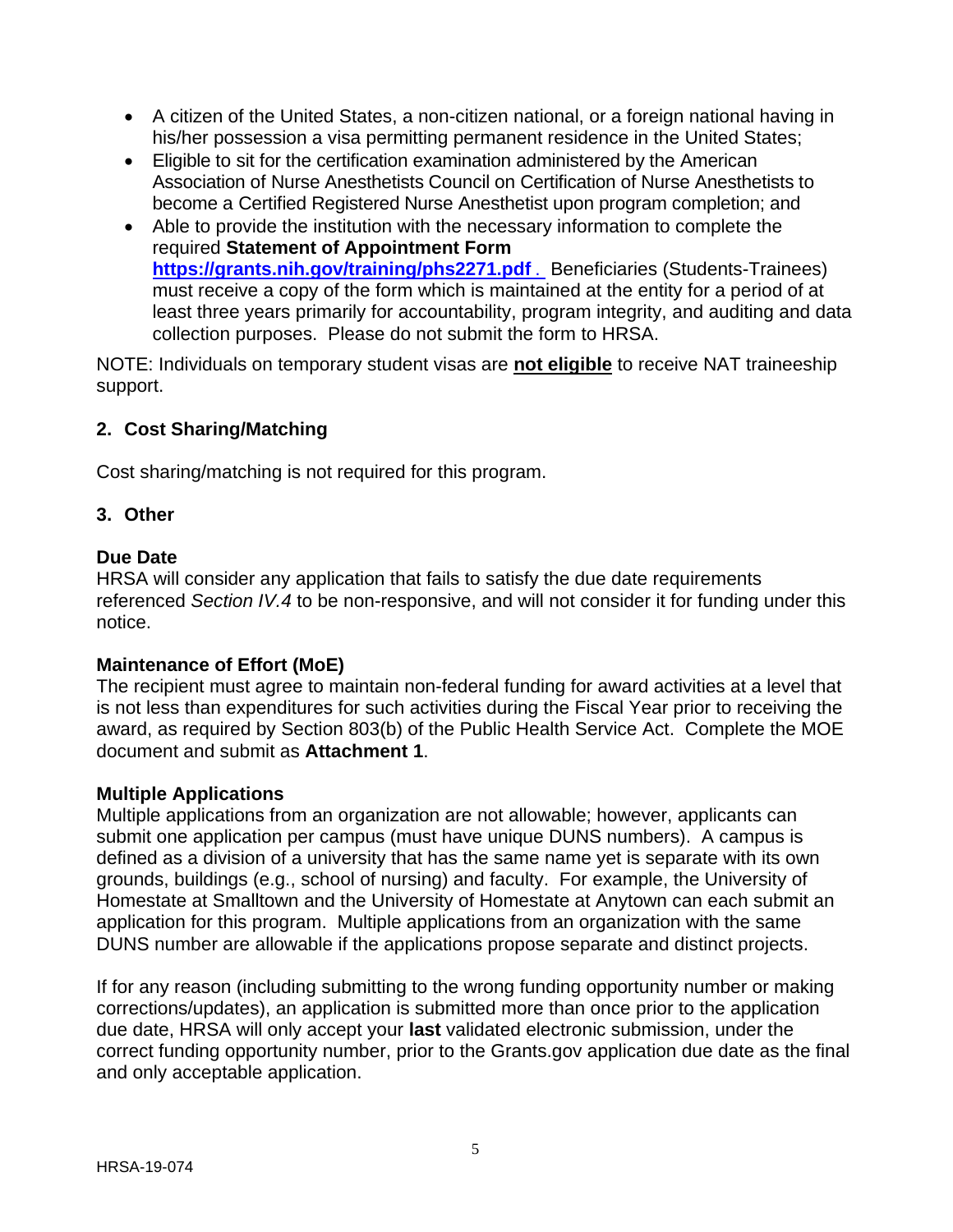- A citizen of the United States, a non-citizen national, or a foreign national having in his/her possession a visa permitting permanent residence in the United States;
- Eligible to sit for the certification examination administered by the American Association of Nurse Anesthetists Council on Certification of Nurse Anesthetists to become a Certified Registered Nurse Anesthetist upon program completion; and
- Able to provide the institution with the necessary information to complete the required **Statement of Appointment Form [https://grants.nih.gov/training/phs2271.pdf](https://grants.nih.gov/training/phs2271.pdf%20.)** . Beneficiaries (Students-Trainees) must receive a copy of the form which is maintained at the entity for a period of at least three years primarily for accountability, program integrity, and auditing and data collection purposes. Please do not submit the form to HRSA.

NOTE: Individuals on temporary student visas are **not eligible** to receive NAT traineeship support.

## <span id="page-8-0"></span>**2. Cost Sharing/Matching**

Cost sharing/matching is not required for this program.

#### <span id="page-8-1"></span>**3. Other**

#### **Due Date**

HRSA will consider any application that fails to satisfy the due date requirements referenced *Section IV.4* to be non-responsive, and will not consider it for funding under this notice.

#### **Maintenance of Effort (MoE)**

The recipient must agree to maintain non-federal funding for award activities at a level that is not less than expenditures for such activities during the Fiscal Year prior to receiving the award, as required by Section 803(b) of the Public Health Service Act. Complete the MOE document and submit as **Attachment 1**.

#### **Multiple Applications**

Multiple applications from an organization are not allowable; however, applicants can submit one application per campus (must have unique DUNS numbers). A campus is defined as a division of a university that has the same name yet is separate with its own grounds, buildings (e.g., school of nursing) and faculty. For example, the University of Homestate at Smalltown and the University of Homestate at Anytown can each submit an application for this program. Multiple applications from an organization with the same DUNS number are allowable if the applications propose separate and distinct projects.

If for any reason (including submitting to the wrong funding opportunity number or making corrections/updates), an application is submitted more than once prior to the application due date, HRSA will only accept your **last** validated electronic submission, under the correct funding opportunity number, prior to the Grants.gov application due date as the final and only acceptable application.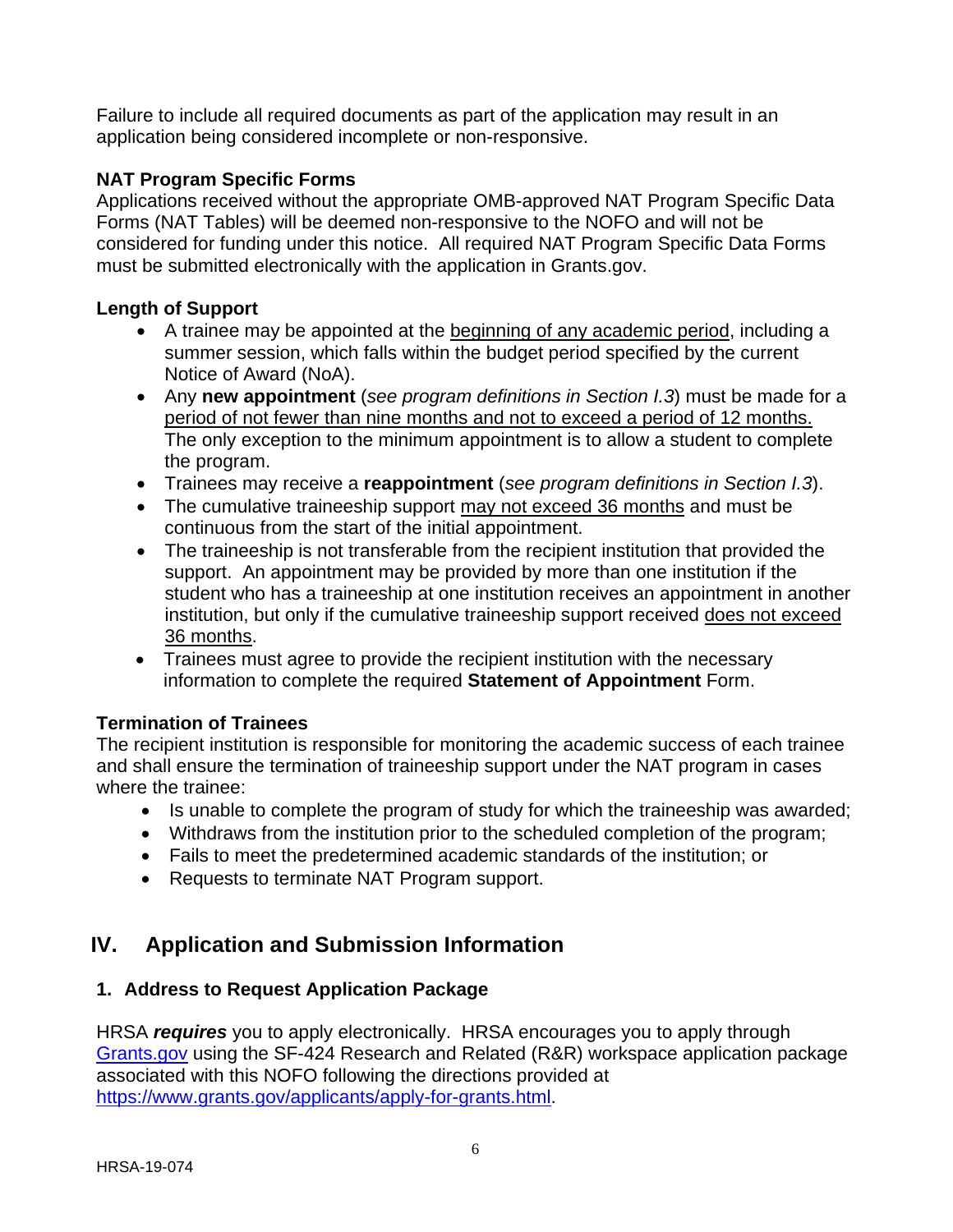Failure to include all required documents as part of the application may result in an application being considered incomplete or non-responsive.

## **NAT Program Specific Forms**

Applications received without the appropriate OMB-approved NAT Program Specific Data Forms (NAT Tables) will be deemed non-responsive to the NOFO and will not be considered for funding under this notice. All required NAT Program Specific Data Forms must be submitted electronically with the application in Grants.gov.

## **Length of Support**

- A trainee may be appointed at the beginning of any academic period, including a summer session, which falls within the budget period specified by the current Notice of Award (NoA).
- Any **new appointment** (*see program definitions in Section I.3*) must be made for a period of not fewer than nine months and not to exceed a period of 12 months. The only exception to the minimum appointment is to allow a student to complete the program.
- Trainees may receive a **reappointment** (*see program definitions in Section I.3*).
- The cumulative traineeship support may not exceed 36 months and must be continuous from the start of the initial appointment.
- The traineeship is not transferable from the recipient institution that provided the support. An appointment may be provided by more than one institution if the student who has a traineeship at one institution receives an appointment in another institution, but only if the cumulative traineeship support received does not exceed 36 months.
- Trainees must agree to provide the recipient institution with the necessary information to complete the required **Statement of Appointment** Form.

## **Termination of Trainees**

The recipient institution is responsible for monitoring the academic success of each trainee and shall ensure the termination of traineeship support under the NAT program in cases where the trainee:

- Is unable to complete the program of study for which the traineeship was awarded;
- Withdraws from the institution prior to the scheduled completion of the program;
- Fails to meet the predetermined academic standards of the institution; or
- Requests to terminate NAT Program support.

# <span id="page-9-0"></span>**IV. Application and Submission Information**

## <span id="page-9-1"></span>**1. Address to Request Application Package**

HRSA *requires* you to apply electronically. HRSA encourages you to apply through [Grants.gov](https://www.grants.gov/) using the SF-424 Research and Related (R&R) workspace application package associated with this NOFO following the directions provided at [https://www.grants.gov/applicants/apply-for-grants.html.](https://www.grants.gov/applicants/apply-for-grants.html)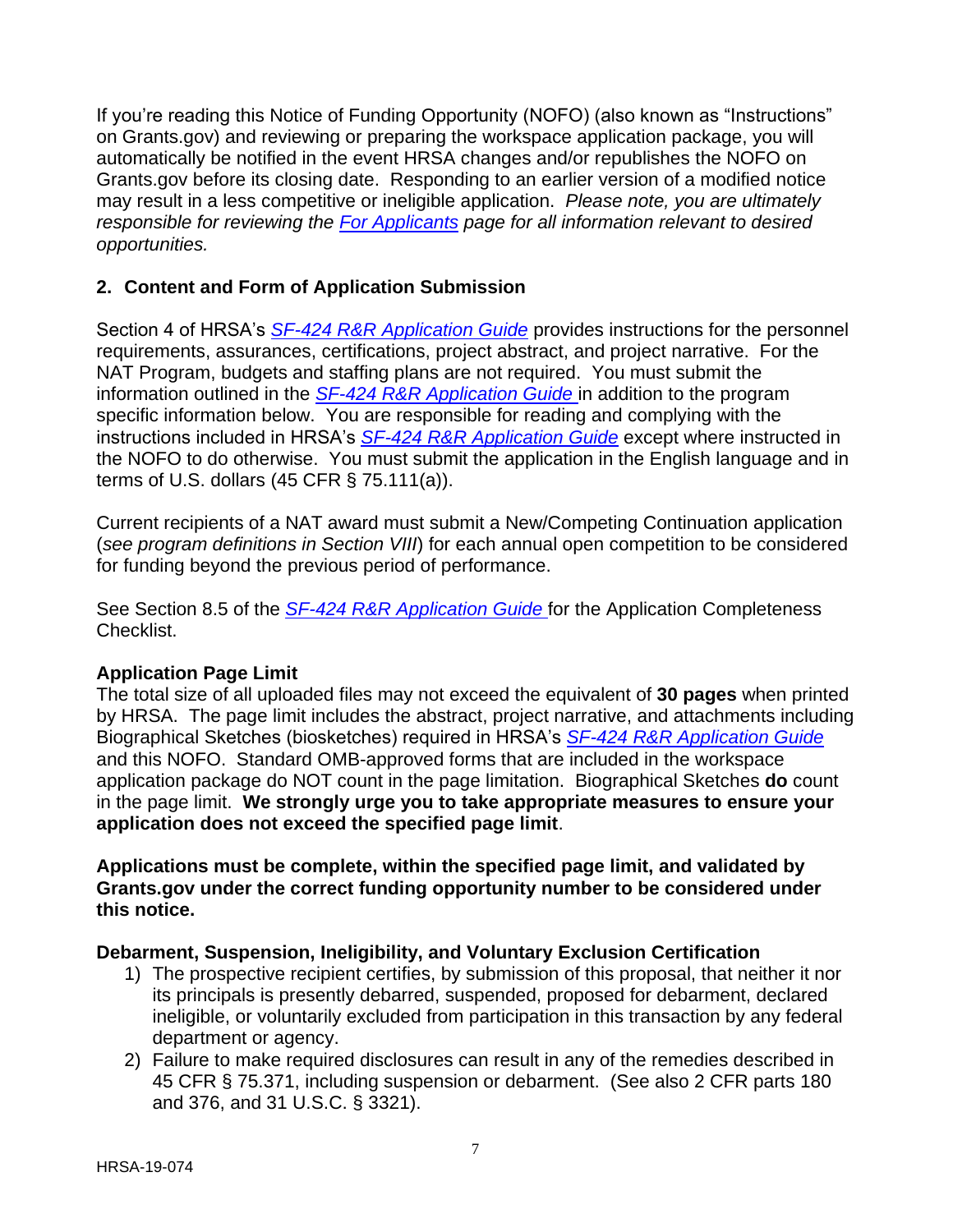If you're reading this Notice of Funding Opportunity (NOFO) (also known as "Instructions" on Grants.gov) and reviewing or preparing the workspace application package, you will automatically be notified in the event HRSA changes and/or republishes the NOFO on Grants.gov before its closing date. Responding to an earlier version of a modified notice may result in a less competitive or ineligible application. *Please note, you are ultimately responsible for reviewing the [For Applicants](https://www.grants.gov/web/grants/applicants.html) page for all information relevant to desired opportunities.*

## <span id="page-10-0"></span>**2. Content and Form of Application Submission**

Section 4 of HRSA's *SF-424 R&R [Application Guide](http://www.hrsa.gov/grants/apply/applicationguide/sf424rrguidev2.pdf)* provides instructions for the personnel requirements, assurances, certifications, project abstract, and project narrative. For the NAT Program, budgets and staffing plans are not required. You must submit the information outlined in the *SF-424 R&R [Application Guide](http://www.hrsa.gov/grants/apply/applicationguide/sf424rrguidev2.pdf)* in addition to the program specific information below. You are responsible for reading and complying with the instructions included in HRSA's *SF-424 R&R [Application Guide](http://www.hrsa.gov/grants/apply/applicationguide/sf424rrguidev2.pdf)* except where instructed in the NOFO to do otherwise. You must submit the application in the English language and in terms of U.S. dollars (45 CFR § 75.111(a)).

Current recipients of a NAT award must submit a New/Competing Continuation application (*see program definitions in Section VIII*) for each annual open competition to be considered for funding beyond the previous period of performance.

See Section 8.5 of the *SF-424 R&R [Application Guide](http://www.hrsa.gov/grants/apply/applicationguide/sf424rrguidev2.pdf)* for the Application Completeness Checklist.

## **Application Page Limit**

The total size of all uploaded files may not exceed the equivalent of **30 pages** when printed by HRSA. The page limit includes the abstract, project narrative, and attachments including Biographical Sketches (biosketches) required in HRSA's *SF-424 R&R [Application Guide](http://www.hrsa.gov/grants/apply/applicationguide/sf424rrguidev2.pdf)* and this NOFO. Standard OMB-approved forms that are included in the workspace application package do NOT count in the page limitation. Biographical Sketches **do** count in the page limit. **We strongly urge you to take appropriate measures to ensure your application does not exceed the specified page limit**.

**Applications must be complete, within the specified page limit, and validated by Grants.gov under the correct funding opportunity number to be considered under this notice.**

## **Debarment, Suspension, Ineligibility, and Voluntary Exclusion Certification**

- 1) The prospective recipient certifies, by submission of this proposal, that neither it nor its principals is presently debarred, suspended, proposed for debarment, declared ineligible, or voluntarily excluded from participation in this transaction by any federal department or agency.
- 2) Failure to make required disclosures can result in any of the remedies described in 45 CFR § 75.371, including suspension or debarment. (See also 2 CFR parts 180 and 376, and 31 U.S.C. § 3321).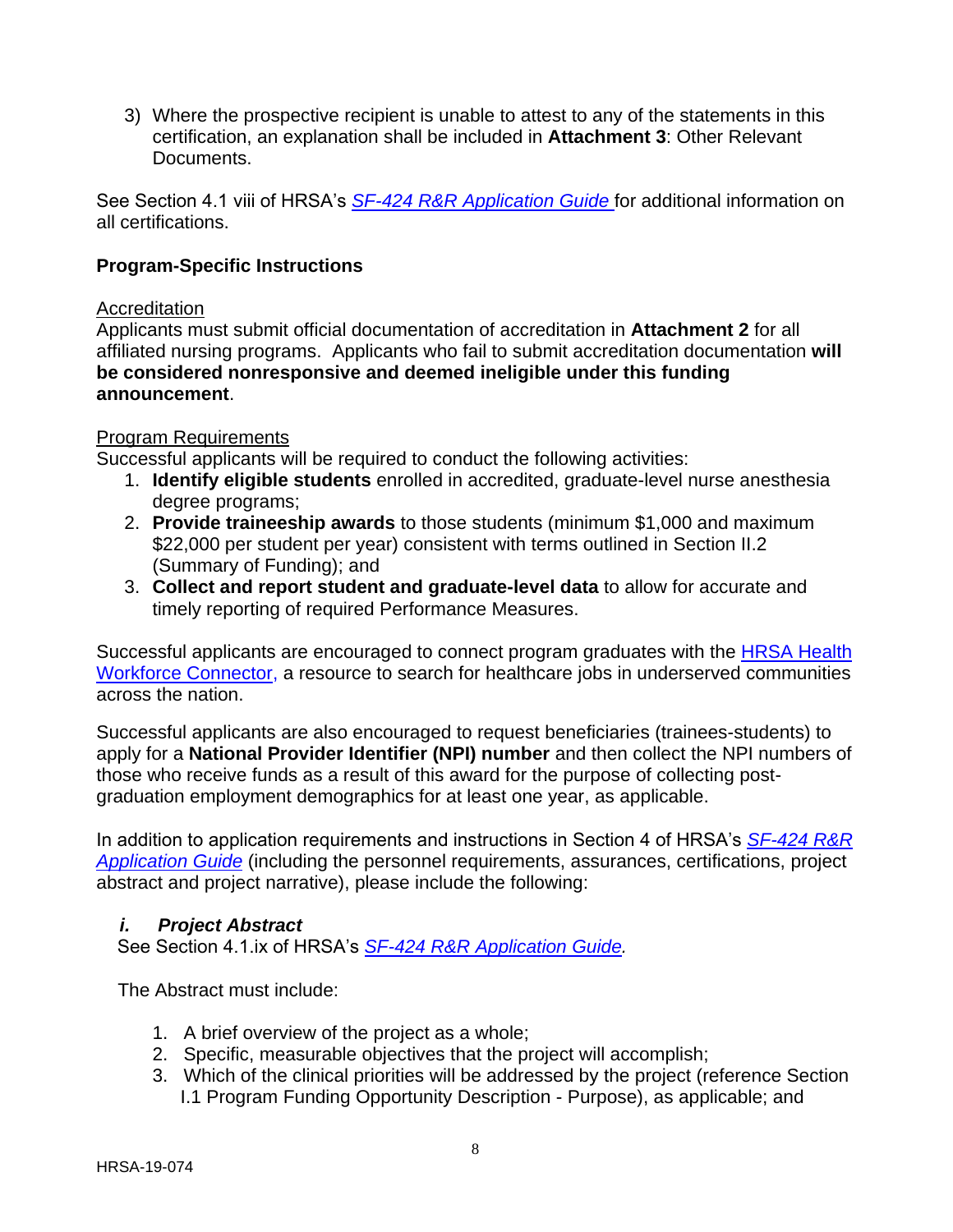3) Where the prospective recipient is unable to attest to any of the statements in this certification, an explanation shall be included in **Attachment 3**: Other Relevant **Documents** 

See Section 4.1 viii of HRSA's *SF-424 R&R [Application Guide](http://www.hrsa.gov/grants/apply/applicationguide/sf424rrguidev2.pdf)* for additional information on all certifications.

#### **Program-Specific Instructions**

#### Accreditation

Applicants must submit official documentation of accreditation in **Attachment 2** for all affiliated nursing programs. Applicants who fail to submit accreditation documentation **will be considered nonresponsive and deemed ineligible under this funding announcement**.

#### Program Requirements

Successful applicants will be required to conduct the following activities:

- 1. **Identify eligible students** enrolled in accredited, graduate-level nurse anesthesia degree programs;
- 2. **Provide traineeship awards** to those students (minimum \$1,000 and maximum \$22,000 per student per year) consistent with terms outlined in Section II.2 (Summary of Funding); and
- 3. **Collect and report student and graduate-level data** to allow for accurate and timely reporting of required Performance Measures.

Successful applicants are encouraged to connect program graduates with the [HRSA Health](https://connector.hrsa.gov/connector/)  [Workforce Connector,](https://connector.hrsa.gov/connector/) a resource to search for healthcare jobs in underserved communities across the nation.

Successful applicants are also encouraged to request beneficiaries (trainees-students) to apply for a **National Provider Identifier (NPI) number** and then collect the NPI numbers of those who receive funds as a result of this award for the purpose of collecting postgraduation employment demographics for at least one year, as applicable.

In addition to application requirements and instructions in Section 4 of HRSA's *[SF-424](http://www.hrsa.gov/grants/apply/applicationguide/sf424rrguidev2.pdf) R&R [Application Guide](http://www.hrsa.gov/grants/apply/applicationguide/sf424rrguidev2.pdf)* (including the personnel requirements, assurances, certifications, project abstract and project narrative), please include the following:

#### <span id="page-11-0"></span>*i. Project Abstract*

See Section 4.1.ix of HRSA's *SF-424 R&R [Application Guide.](http://www.hrsa.gov/grants/apply/applicationguide/sf424rrguidev2.pdf)*

The Abstract must include:

- 1. A brief overview of the project as a whole;
- 2. Specific, measurable objectives that the project will accomplish;
- 3. Which of the clinical priorities will be addressed by the project (reference Section I.1 Program Funding Opportunity Description - Purpose), as applicable; and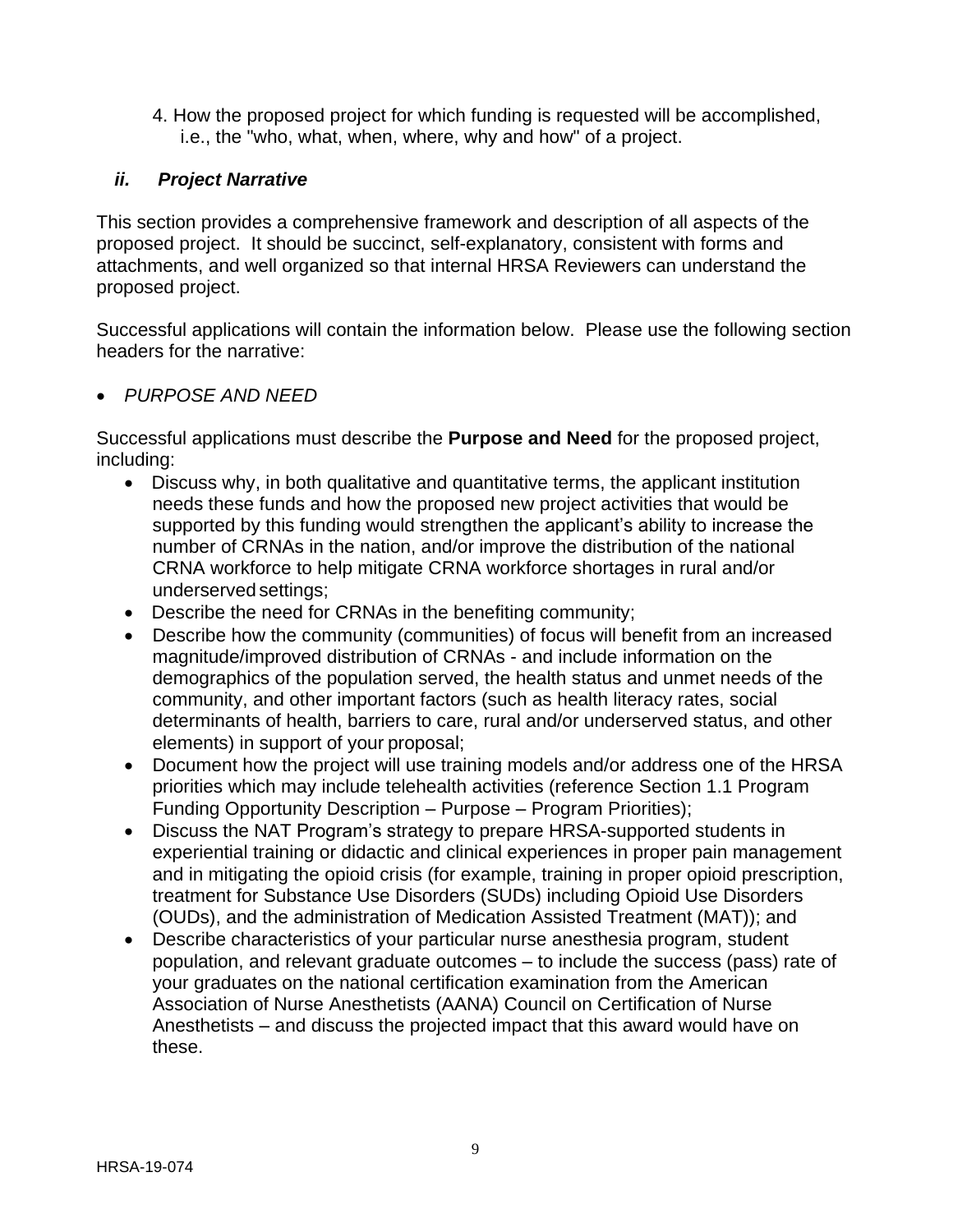4. How the proposed project for which funding is requested will be accomplished, i.e., the "who, what, when, where, why and how" of a project.

#### <span id="page-12-0"></span>*ii. Project Narrative*

This section provides a comprehensive framework and description of all aspects of the proposed project. It should be succinct, self-explanatory, consistent with forms and attachments, and well organized so that internal HRSA Reviewers can understand the proposed project.

Successful applications will contain the information below. Please use the following section headers for the narrative:

#### *PURPOSE AND NEED*

Successful applications must describe the **Purpose and Need** for the proposed project, including:

- Discuss why, in both qualitative and quantitative terms, the applicant institution needs these funds and how the proposed new project activities that would be supported by this funding would strengthen the applicant's ability to increase the number of CRNAs in the nation, and/or improve the distribution of the national CRNA workforce to help mitigate CRNA workforce shortages in rural and/or underserved settings;
- Describe the need for CRNAs in the benefiting community;
- Describe how the community (communities) of focus will benefit from an increased magnitude/improved distribution of CRNAs - and include information on the demographics of the population served, the health status and unmet needs of the community, and other important factors (such as health literacy rates, social determinants of health, barriers to care, rural and/or underserved status, and other elements) in support of your proposal;
- Document how the project will use training models and/or address one of the HRSA priorities which may include telehealth activities (reference Section 1.1 Program Funding Opportunity Description – Purpose – Program Priorities);
- Discuss the NAT Program's strategy to prepare HRSA-supported students in experiential training or didactic and clinical experiences in proper pain management and in mitigating the opioid crisis (for example, training in proper opioid prescription, treatment for Substance Use Disorders (SUDs) including Opioid Use Disorders (OUDs), and the administration of Medication Assisted Treatment (MAT)); and
- Describe characteristics of your particular nurse anesthesia program, student population, and relevant graduate outcomes – to include the success (pass) rate of your graduates on the national certification examination from the American Association of Nurse Anesthetists (AANA) Council on Certification of Nurse Anesthetists – and discuss the projected impact that this award would have on these.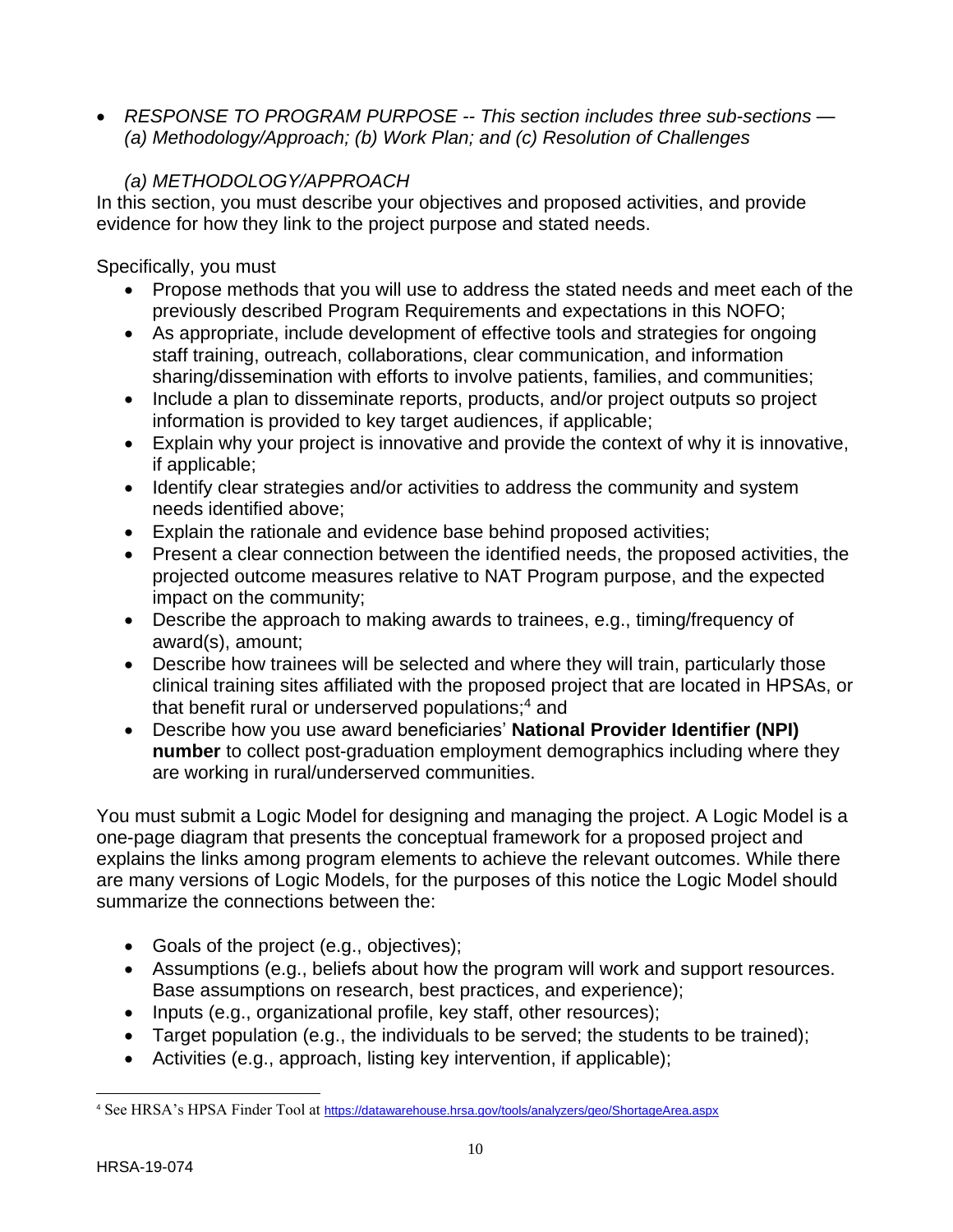*RESPONSE TO PROGRAM PURPOSE -- This section includes three sub-sections — (a) Methodology/Approach; (b) Work Plan; and (c) Resolution of Challenges*

## *(a) METHODOLOGY/APPROACH*

In this section, you must describe your objectives and proposed activities, and provide evidence for how they link to the project purpose and stated needs.

Specifically, you must

- Propose methods that you will use to address the stated needs and meet each of the previously described Program Requirements and expectations in this NOFO;
- As appropriate, include development of effective tools and strategies for ongoing staff training, outreach, collaborations, clear communication, and information sharing/dissemination with efforts to involve patients, families, and communities;
- Include a plan to disseminate reports, products, and/or project outputs so project information is provided to key target audiences, if applicable;
- Explain why your project is innovative and provide the context of why it is innovative, if applicable;
- Identify clear strategies and/or activities to address the community and system needs identified above;
- Explain the rationale and evidence base behind proposed activities;
- Present a clear connection between the identified needs, the proposed activities, the projected outcome measures relative to NAT Program purpose, and the expected impact on the community;
- Describe the approach to making awards to trainees, e.g., timing/frequency of award(s), amount;
- Describe how trainees will be selected and where they will train, particularly those clinical training sites affiliated with the proposed project that are located in HPSAs, or that benefit rural or underserved populations; <sup>4</sup> and
- Describe how you use award beneficiaries' **National Provider Identifier (NPI) number** to collect post-graduation employment demographics including where they are working in rural/underserved communities.

You must submit a Logic Model for designing and managing the project. A Logic Model is a one-page diagram that presents the conceptual framework for a proposed project and explains the links among program elements to achieve the relevant outcomes. While there are many versions of Logic Models, for the purposes of this notice the Logic Model should summarize the connections between the:

- Goals of the project (e.g., objectives);
- Assumptions (e.g., beliefs about how the program will work and support resources. Base assumptions on research, best practices, and experience);
- Inputs (e.g., organizational profile, key staff, other resources);
- Target population (e.g., the individuals to be served; the students to be trained);
- Activities (e.g., approach, listing key intervention, if applicable);

 $\overline{\phantom{a}}$ 

<sup>4</sup> See HRSA's HPSA Finder Tool at <https://datawarehouse.hrsa.gov/tools/analyzers/geo/ShortageArea.aspx>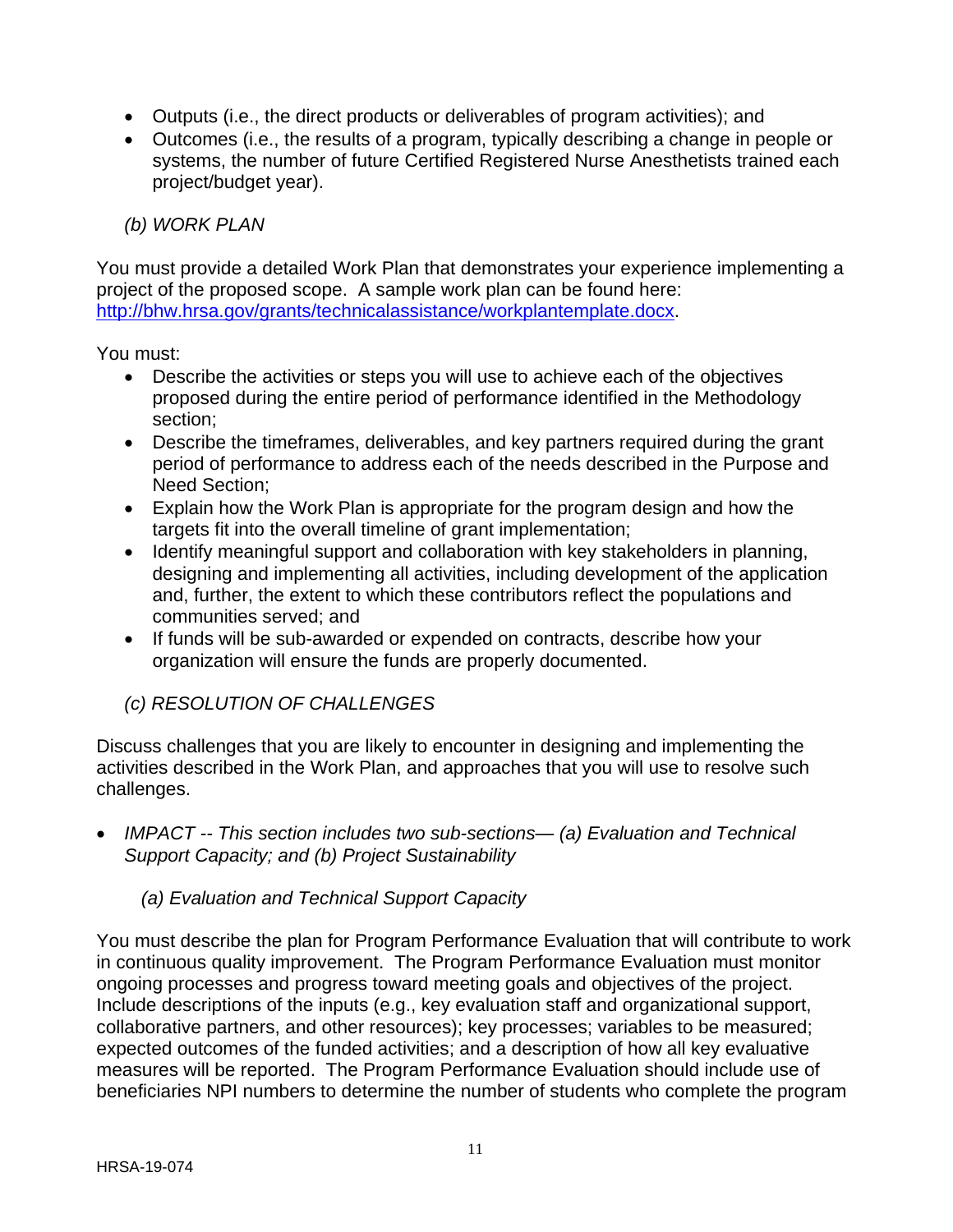- Outputs (i.e., the direct products or deliverables of program activities); and
- Outcomes (i.e., the results of a program, typically describing a change in people or systems, the number of future Certified Registered Nurse Anesthetists trained each project/budget year).

#### *(b) WORK PLAN*

You must provide a detailed Work Plan that demonstrates your experience implementing a project of the proposed scope. A sample work plan can be found here: [http://bhw.hrsa.gov/grants/technicalassistance/workplantemplate.docx.](http://bhw.hrsa.gov/grants/technicalassistance/workplantemplate.docx)

You must:

- Describe the activities or steps you will use to achieve each of the objectives proposed during the entire period of performance identified in the Methodology section;
- Describe the timeframes, deliverables, and key partners required during the grant period of performance to address each of the needs described in the Purpose and Need Section;
- Explain how the Work Plan is appropriate for the program design and how the targets fit into the overall timeline of grant implementation;
- Identify meaningful support and collaboration with key stakeholders in planning, designing and implementing all activities, including development of the application and, further, the extent to which these contributors reflect the populations and communities served; and
- If funds will be sub-awarded or expended on contracts, describe how your organization will ensure the funds are properly documented.

## *(c) RESOLUTION OF CHALLENGES*

Discuss challenges that you are likely to encounter in designing and implementing the activities described in the Work Plan, and approaches that you will use to resolve such challenges.

 *IMPACT -- This section includes two sub-sections— (a) Evaluation and Technical Support Capacity; and (b) Project Sustainability*

#### *(a) Evaluation and Technical Support Capacity*

You must describe the plan for Program Performance Evaluation that will contribute to work in continuous quality improvement. The Program Performance Evaluation must monitor ongoing processes and progress toward meeting goals and objectives of the project. Include descriptions of the inputs (e.g., key evaluation staff and organizational support, collaborative partners, and other resources); key processes; variables to be measured; expected outcomes of the funded activities; and a description of how all key evaluative measures will be reported. The Program Performance Evaluation should include use of beneficiaries NPI numbers to determine the number of students who complete the program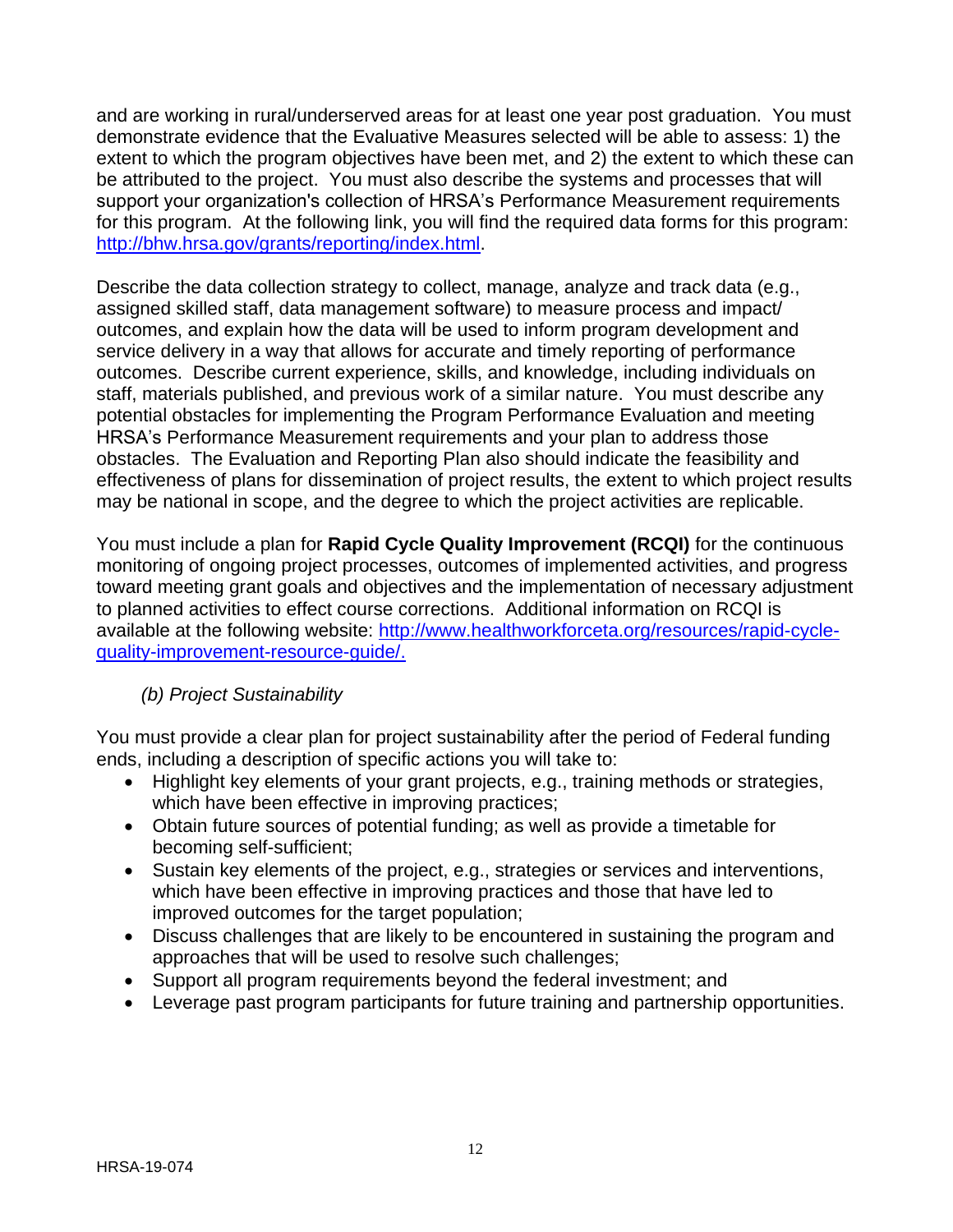and are working in rural/underserved areas for at least one year post graduation. You must demonstrate evidence that the Evaluative Measures selected will be able to assess: 1) the extent to which the program objectives have been met, and 2) the extent to which these can be attributed to the project. You must also describe the systems and processes that will support your organization's collection of HRSA's Performance Measurement requirements for this program. At the following link, you will find the required data forms for this program: [http://bhw.hrsa.gov/grants/reporting/index.html.](http://bhw.hrsa.gov/grants/reporting/index.html)

Describe the data collection strategy to collect, manage, analyze and track data (e.g., assigned skilled staff, data management software) to measure process and impact/ outcomes, and explain how the data will be used to inform program development and service delivery in a way that allows for accurate and timely reporting of performance outcomes. Describe current experience, skills, and knowledge, including individuals on staff, materials published, and previous work of a similar nature. You must describe any potential obstacles for implementing the Program Performance Evaluation and meeting HRSA's Performance Measurement requirements and your plan to address those obstacles. The Evaluation and Reporting Plan also should indicate the feasibility and effectiveness of plans for dissemination of project results, the extent to which project results may be national in scope, and the degree to which the project activities are replicable.

You must include a plan for **Rapid Cycle Quality Improvement (RCQI)** for the continuous monitoring of ongoing project processes, outcomes of implemented activities, and progress toward meeting grant goals and objectives and the implementation of necessary adjustment to planned activities to effect course corrections. Additional information on RCQI is available at the following website: [http://www.healthworkforceta.org/resources/rapid-cycle](http://www.healthworkforceta.org/resources/rapid-cycle-quality-improvement-resource-guide/)[quality-improvement-resource-guide/.](http://www.healthworkforceta.org/resources/rapid-cycle-quality-improvement-resource-guide/)

## *(b) Project Sustainability*

You must provide a clear plan for project sustainability after the period of Federal funding ends, including a description of specific actions you will take to:

- Highlight key elements of your grant projects, e.g., training methods or strategies, which have been effective in improving practices;
- Obtain future sources of potential funding; as well as provide a timetable for becoming self-sufficient;
- Sustain key elements of the project, e.g., strategies or services and interventions, which have been effective in improving practices and those that have led to improved outcomes for the target population;
- Discuss challenges that are likely to be encountered in sustaining the program and approaches that will be used to resolve such challenges;
- Support all program requirements beyond the federal investment; and
- Leverage past program participants for future training and partnership opportunities.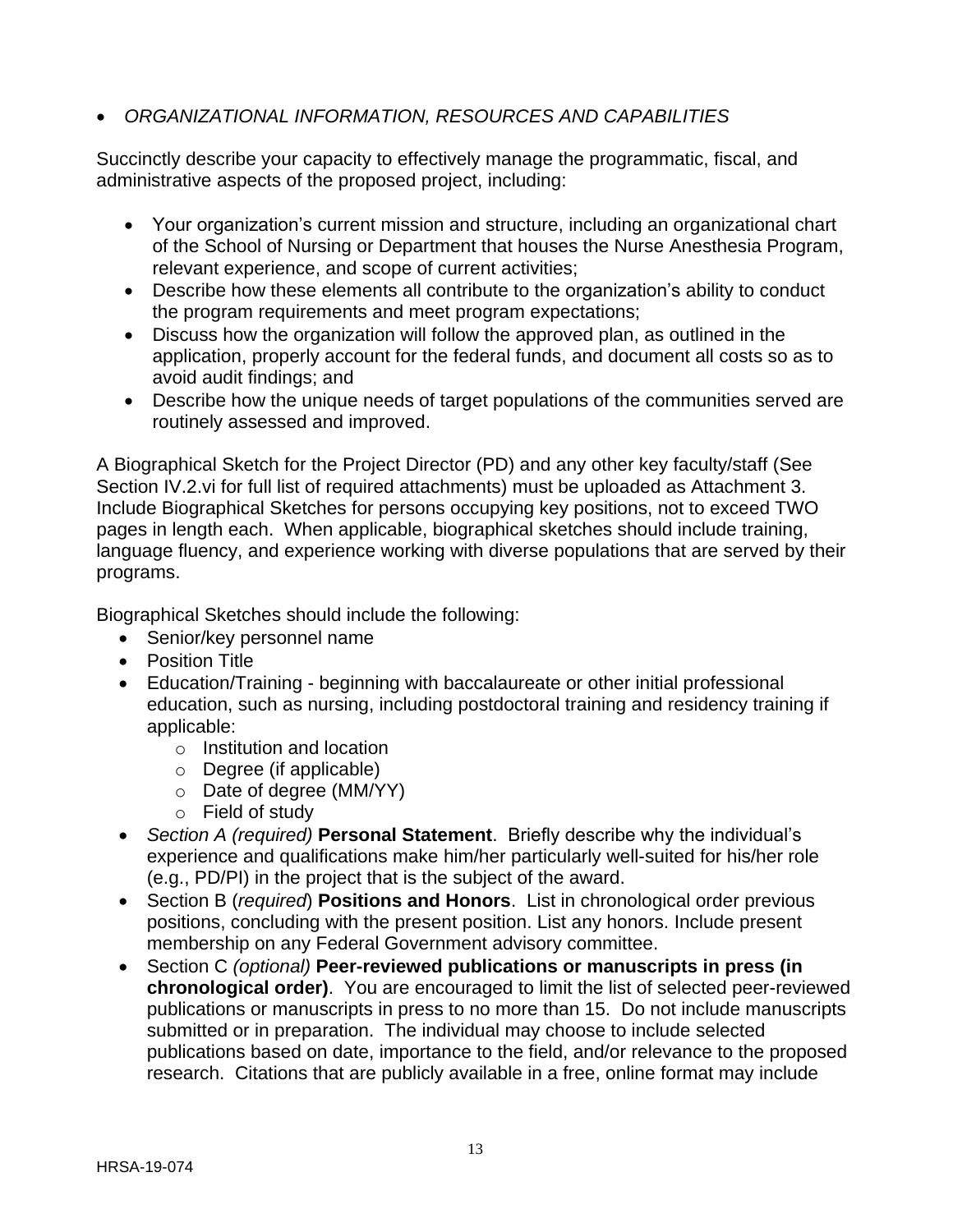## *ORGANIZATIONAL INFORMATION, RESOURCES AND CAPABILITIES*

Succinctly describe your capacity to effectively manage the programmatic, fiscal, and administrative aspects of the proposed project, including:

- Your organization's current mission and structure, including an organizational chart of the School of Nursing or Department that houses the Nurse Anesthesia Program, relevant experience, and scope of current activities;
- Describe how these elements all contribute to the organization's ability to conduct the program requirements and meet program expectations;
- Discuss how the organization will follow the approved plan, as outlined in the application, properly account for the federal funds, and document all costs so as to avoid audit findings; and
- Describe how the unique needs of target populations of the communities served are routinely assessed and improved.

A Biographical Sketch for the Project Director (PD) and any other key faculty/staff (See Section IV.2.vi for full list of required attachments) must be uploaded as Attachment 3. Include Biographical Sketches for persons occupying key positions, not to exceed TWO pages in length each. When applicable, biographical sketches should include training, language fluency, and experience working with diverse populations that are served by their programs.

Biographical Sketches should include the following:

- Senior/key personnel name
- Position Title
- Education/Training beginning with baccalaureate or other initial professional education, such as nursing, including postdoctoral training and residency training if applicable:
	- o Institution and location
	- o Degree (if applicable)
	- o Date of degree (MM/YY)
	- o Field of study
- *Section A (required)* **Personal Statement**. Briefly describe why the individual's experience and qualifications make him/her particularly well-suited for his/her role (e.g., PD/PI) in the project that is the subject of the award.
- Section B (*required*) **Positions and Honors**. List in chronological order previous positions, concluding with the present position. List any honors. Include present membership on any Federal Government advisory committee.
- Section C *(optional)* **Peer-reviewed publications or manuscripts in press (in chronological order)**. You are encouraged to limit the list of selected peer-reviewed publications or manuscripts in press to no more than 15. Do not include manuscripts submitted or in preparation. The individual may choose to include selected publications based on date, importance to the field, and/or relevance to the proposed research. Citations that are publicly available in a free, online format may include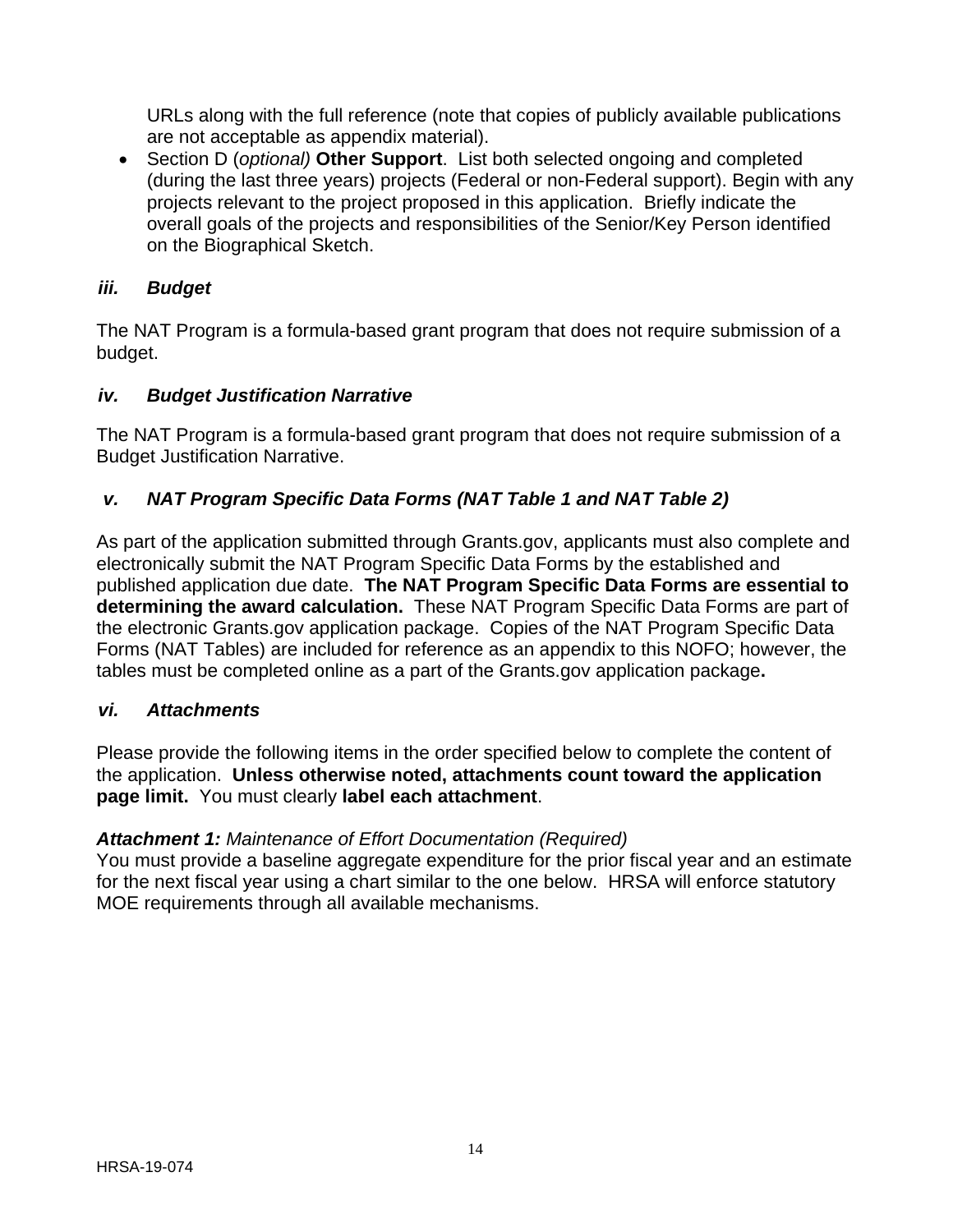URLs along with the full reference (note that copies of publicly available publications are not acceptable as appendix material).

 Section D (*optional)* **Other Support**. List both selected ongoing and completed (during the last three years) projects (Federal or non-Federal support). Begin with any projects relevant to the project proposed in this application. Briefly indicate the overall goals of the projects and responsibilities of the Senior/Key Person identified on the Biographical Sketch.

## <span id="page-17-0"></span>*iii. Budget*

The NAT Program is a formula-based grant program that does not require submission of a budget.

## <span id="page-17-1"></span>*iv. Budget Justification Narrative*

The NAT Program is a formula-based grant program that does not require submission of a Budget Justification Narrative.

## <span id="page-17-2"></span>*v. NAT Program Specific Data Forms (NAT Table 1 and NAT Table 2)*

As part of the application submitted through Grants.gov, applicants must also complete and electronically submit the NAT Program Specific Data Forms by the established and published application due date. **The NAT Program Specific Data Forms are essential to determining the award calculation.** These NAT Program Specific Data Forms are part of the electronic Grants.gov application package. Copies of the NAT Program Specific Data Forms (NAT Tables) are included for reference as an appendix to this NOFO; however, the tables must be completed online as a part of the Grants.gov application package**.**

## <span id="page-17-3"></span>*vi. Attachments*

Please provide the following items in the order specified below to complete the content of the application. **Unless otherwise noted, attachments count toward the application page limit.** You must clearly **label each attachment**.

## *Attachment 1: Maintenance of Effort Documentation (Required)*

You must provide a baseline aggregate expenditure for the prior fiscal year and an estimate for the next fiscal year using a chart similar to the one below. HRSA will enforce statutory MOE requirements through all available mechanisms.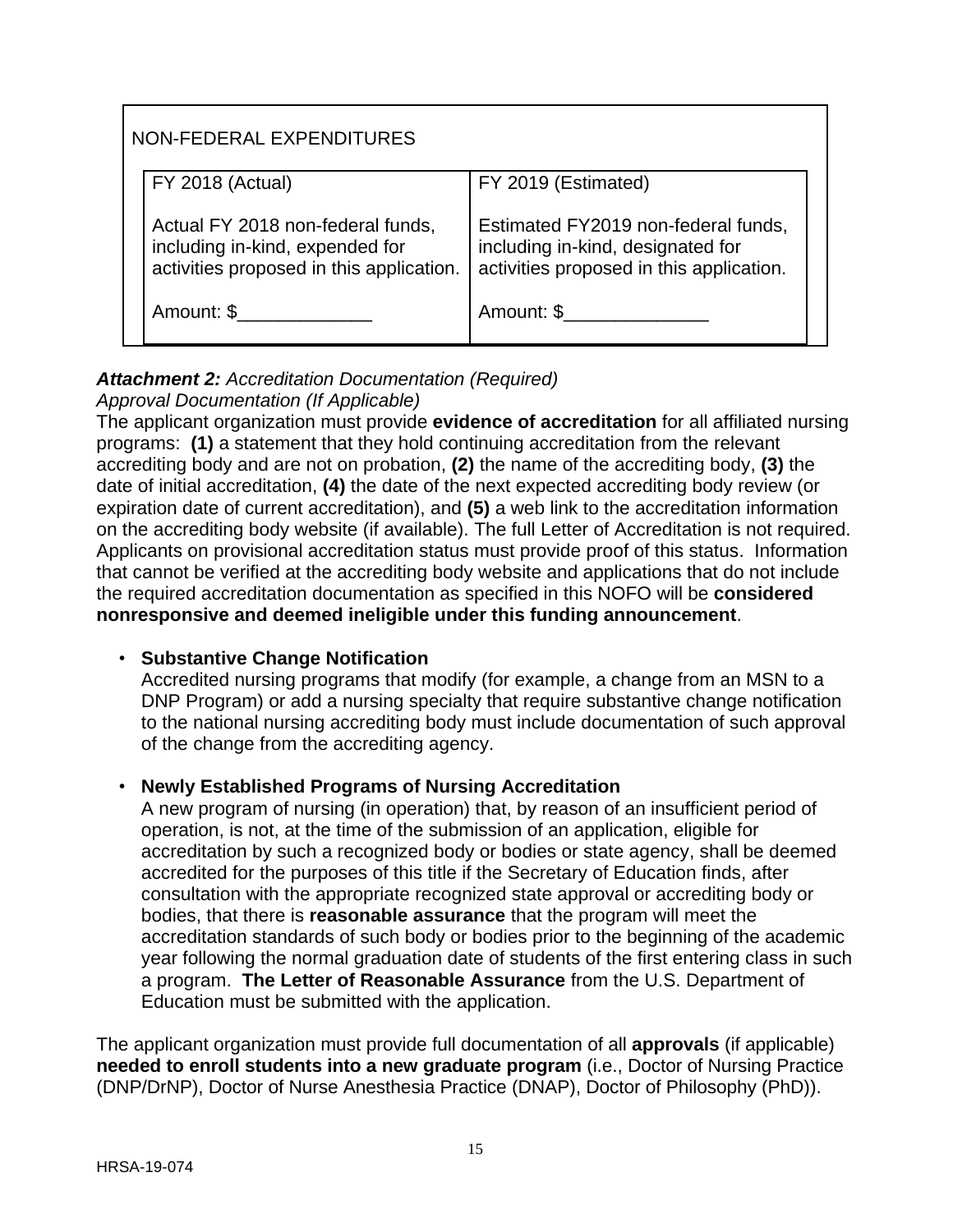| NON-FEDERAL EXPENDITURES                                                                                         |                                                                                                                      |  |
|------------------------------------------------------------------------------------------------------------------|----------------------------------------------------------------------------------------------------------------------|--|
| FY 2018 (Actual)                                                                                                 | FY 2019 (Estimated)                                                                                                  |  |
| Actual FY 2018 non-federal funds,<br>including in-kind, expended for<br>activities proposed in this application. | Estimated FY2019 non-federal funds,<br>including in-kind, designated for<br>activities proposed in this application. |  |
| Amount: \$                                                                                                       | Amount: \$                                                                                                           |  |

#### *Attachment 2: Accreditation Documentation (Required) Approval Documentation (If Applicable)*

The applicant organization must provide **evidence of accreditation** for all affiliated nursing programs: **(1)** a statement that they hold continuing accreditation from the relevant accrediting body and are not on probation, **(2)** the name of the accrediting body, **(3)** the date of initial accreditation, **(4)** the date of the next expected accrediting body review (or expiration date of current accreditation), and **(5)** a web link to the accreditation information on the accrediting body website (if available). The full Letter of Accreditation is not required. Applicants on provisional accreditation status must provide proof of this status. Information that cannot be verified at the accrediting body website and applications that do not include the required accreditation documentation as specified in this NOFO will be **considered nonresponsive and deemed ineligible under this funding announcement**.

## • **Substantive Change Notification**

Accredited nursing programs that modify (for example, a change from an MSN to a DNP Program) or add a nursing specialty that require substantive change notification to the national nursing accrediting body must include documentation of such approval of the change from the accrediting agency.

## • **Newly Established Programs of Nursing Accreditation**

A new program of nursing (in operation) that, by reason of an insufficient period of operation, is not, at the time of the submission of an application, eligible for accreditation by such a recognized body or bodies or state agency, shall be deemed accredited for the purposes of this title if the Secretary of Education finds, after consultation with the appropriate recognized state approval or accrediting body or bodies, that there is **reasonable assurance** that the program will meet the accreditation standards of such body or bodies prior to the beginning of the academic year following the normal graduation date of students of the first entering class in such a program. **The Letter of Reasonable Assurance** from the U.S. Department of Education must be submitted with the application.

The applicant organization must provide full documentation of all **approvals** (if applicable) **needed to enroll students into a new graduate program** (i.e., Doctor of Nursing Practice (DNP/DrNP), Doctor of Nurse Anesthesia Practice (DNAP), Doctor of Philosophy (PhD)).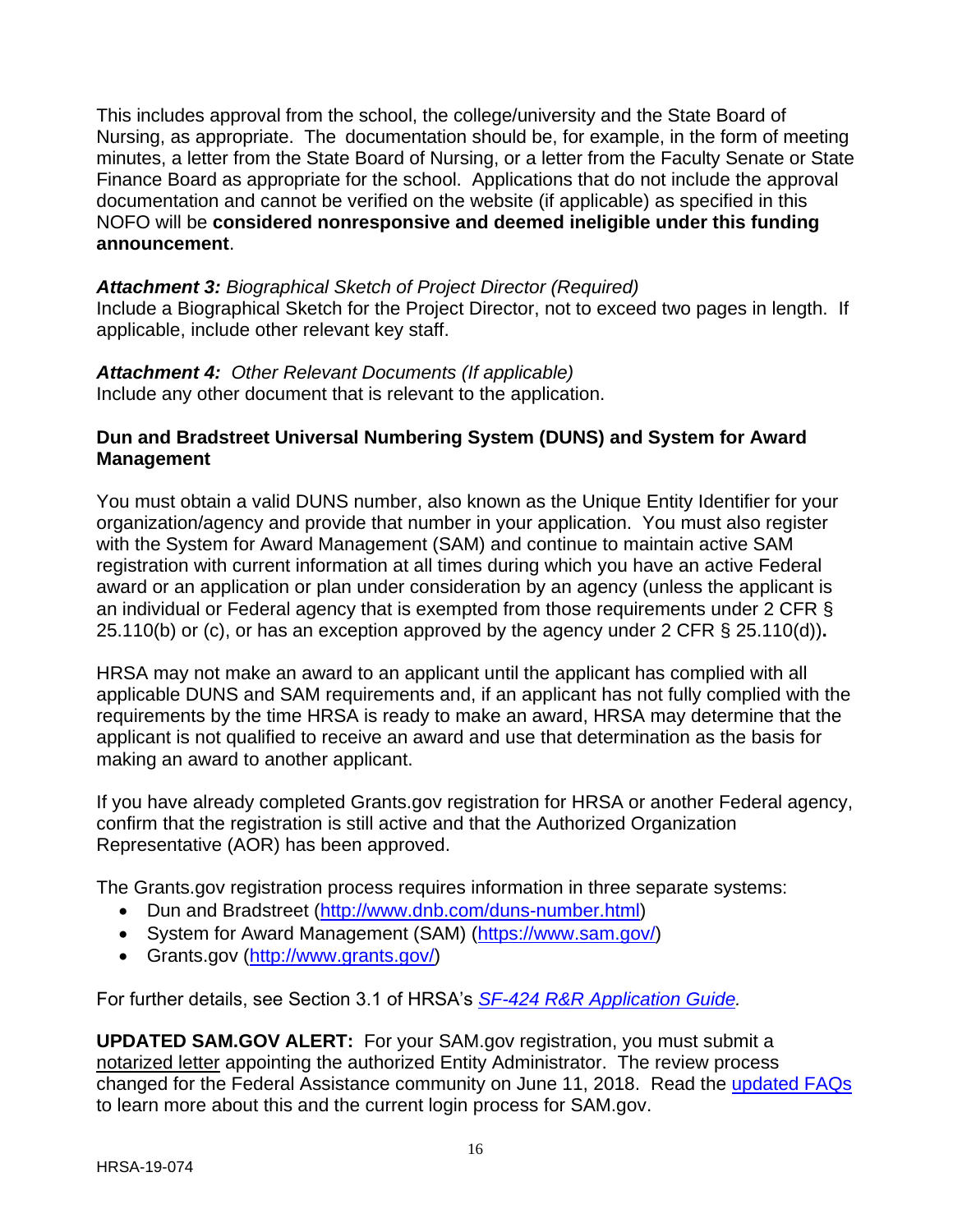This includes approval from the school, the college/university and the State Board of Nursing, as appropriate. The documentation should be, for example, in the form of meeting minutes, a letter from the State Board of Nursing, or a letter from the Faculty Senate or State Finance Board as appropriate for the school. Applications that do not include the approval documentation and cannot be verified on the website (if applicable) as specified in this NOFO will be **considered nonresponsive and deemed ineligible under this funding announcement**.

*Attachment 3: Biographical Sketch of Project Director (Required)* Include a Biographical Sketch for the Project Director, not to exceed two pages in length. If applicable, include other relevant key staff.

## *Attachment 4: Other Relevant Documents (If applicable)*

Include any other document that is relevant to the application.

#### <span id="page-19-0"></span>**Dun and Bradstreet Universal Numbering System (DUNS) and System for Award Management**

You must obtain a valid DUNS number, also known as the Unique Entity Identifier for your organization/agency and provide that number in your application. You must also register with the System for Award Management (SAM) and continue to maintain active SAM registration with current information at all times during which you have an active Federal award or an application or plan under consideration by an agency (unless the applicant is an individual or Federal agency that is exempted from those requirements under 2 CFR § 25.110(b) or (c), or has an exception approved by the agency under 2 CFR § 25.110(d))**.**

HRSA may not make an award to an applicant until the applicant has complied with all applicable DUNS and SAM requirements and, if an applicant has not fully complied with the requirements by the time HRSA is ready to make an award, HRSA may determine that the applicant is not qualified to receive an award and use that determination as the basis for making an award to another applicant.

If you have already completed Grants.gov registration for HRSA or another Federal agency, confirm that the registration is still active and that the Authorized Organization Representative (AOR) has been approved.

The Grants.gov registration process requires information in three separate systems:

- Dun and Bradstreet [\(http://www.dnb.com/duns-number.html\)](http://www.dnb.com/duns-number.html)
- System for Award Management (SAM) [\(https://www.sam.gov/\)](https://www.sam.gov/)
- Grants.gov [\(http://www.grants.gov/\)](http://www.grants.gov/)

For further details, see Section 3.1 of HRSA's *SF-424 R&R [Application Guide.](http://www.hrsa.gov/grants/apply/applicationguide/sf424rrguidev2.pdf)*

**UPDATED SAM.GOV ALERT:** For your SAM.gov registration, you must submit a notarized letter appointing the authorized Entity Administrator. The review process changed for the Federal Assistance community on June 11, 2018. Read the [updated FAQs](https://www.gsa.gov/about-us/organization/federal-acquisition-service/office-of-systems-management/integrated-award-environment-iae/sam-update) to learn more about this and the current login process for SAM.gov.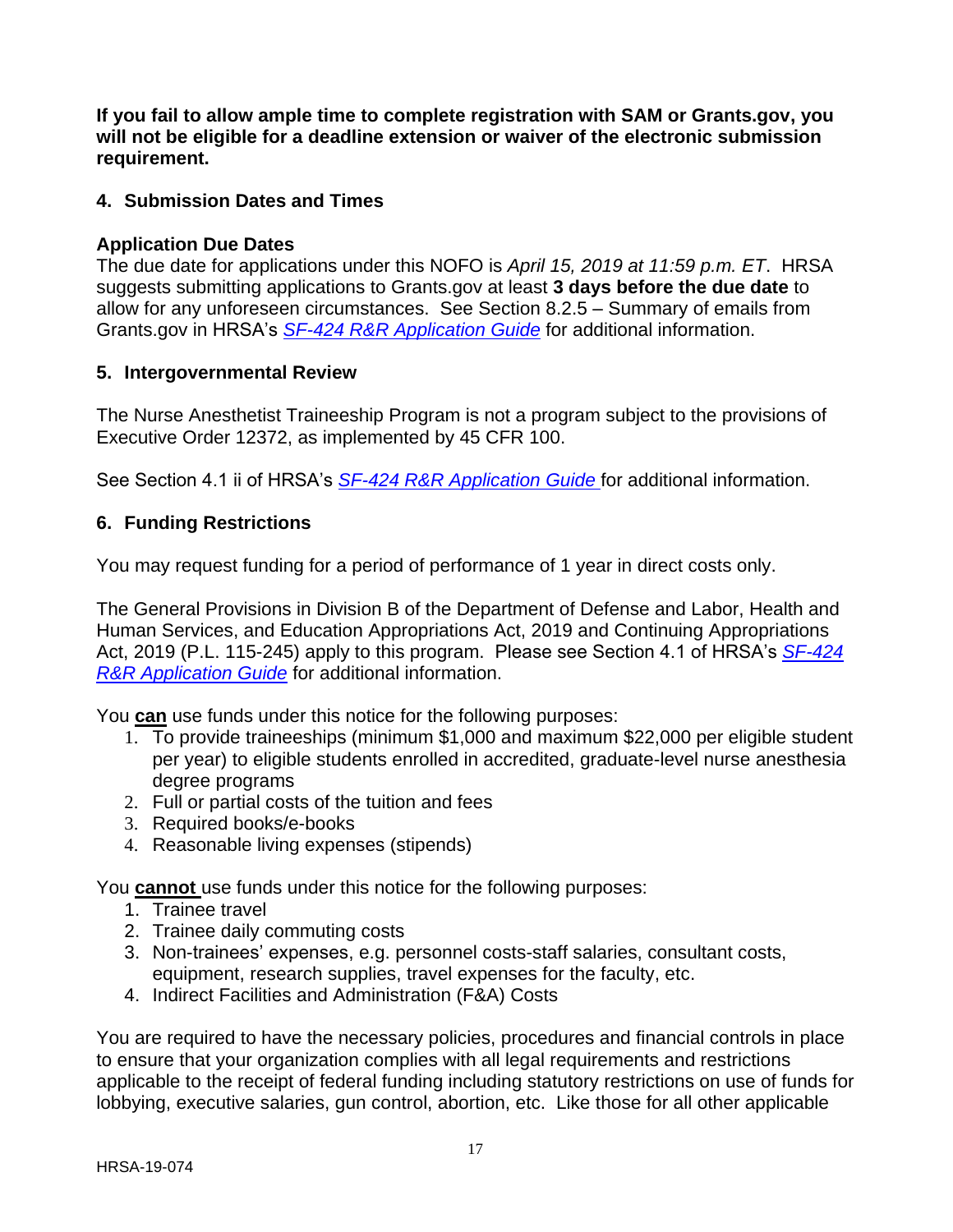**If you fail to allow ample time to complete registration with SAM or Grants.gov, you will not be eligible for a deadline extension or waiver of the electronic submission requirement.**

#### <span id="page-20-0"></span>**4. Submission Dates and Times**

#### **Application Due Dates**

The due date for applications under this NOFO is *April 15, 2019 at 11:59 p.m. ET*. HRSA suggests submitting applications to Grants.gov at least **3 days before the due date** to allow for any unforeseen circumstances. See Section 8.2.5 – Summary of emails from Grants.gov in HRSA's *SF-424 R&R [Application Guide](http://www.hrsa.gov/grants/apply/applicationguide/sf424rrguidev2.pdf)* for additional information.

#### <span id="page-20-1"></span>**5. Intergovernmental Review**

The Nurse Anesthetist Traineeship Program is not a program subject to the provisions of Executive Order 12372, as implemented by 45 CFR 100.

See Section 4.1 ii of HRSA's *[SF-424 R&R Application Guide](http://www.hrsa.gov/grants/apply/applicationguide/sf424guide.pdf)* for additional information.

#### <span id="page-20-2"></span>**6. Funding Restrictions**

You may request funding for a period of performance of 1 year in direct costs only.

The General Provisions in Division B of the Department of Defense and Labor, Health and Human Services, and Education Appropriations Act, 2019 and Continuing Appropriations Act, 2019 (P.L. 115-245) apply to this program. Please see Section 4.1 of HRSA's *[SF-424](http://www.hrsa.gov/grants/apply/applicationguide/sf424rrguidev2.pdf) R&R [Application Guide](http://www.hrsa.gov/grants/apply/applicationguide/sf424rrguidev2.pdf)* for additional information.

You **can** use funds under this notice for the following purposes:

- 1. To provide traineeships (minimum \$1,000 and maximum \$22,000 per eligible student per year) to eligible students enrolled in accredited, graduate-level nurse anesthesia degree programs
- 2. Full or partial costs of the tuition and fees
- 3. Required books/e-books
- 4. Reasonable living expenses (stipends)

You **cannot** use funds under this notice for the following purposes:

- 1. Trainee travel
- 2. Trainee daily commuting costs
- 3. Non-trainees' expenses, e.g. personnel costs-staff salaries, consultant costs, equipment, research supplies, travel expenses for the faculty, etc.
- 4. Indirect Facilities and Administration (F&A) Costs

You are required to have the necessary policies, procedures and financial controls in place to ensure that your organization complies with all legal requirements and restrictions applicable to the receipt of federal funding including statutory restrictions on use of funds for lobbying, executive salaries, gun control, abortion, etc. Like those for all other applicable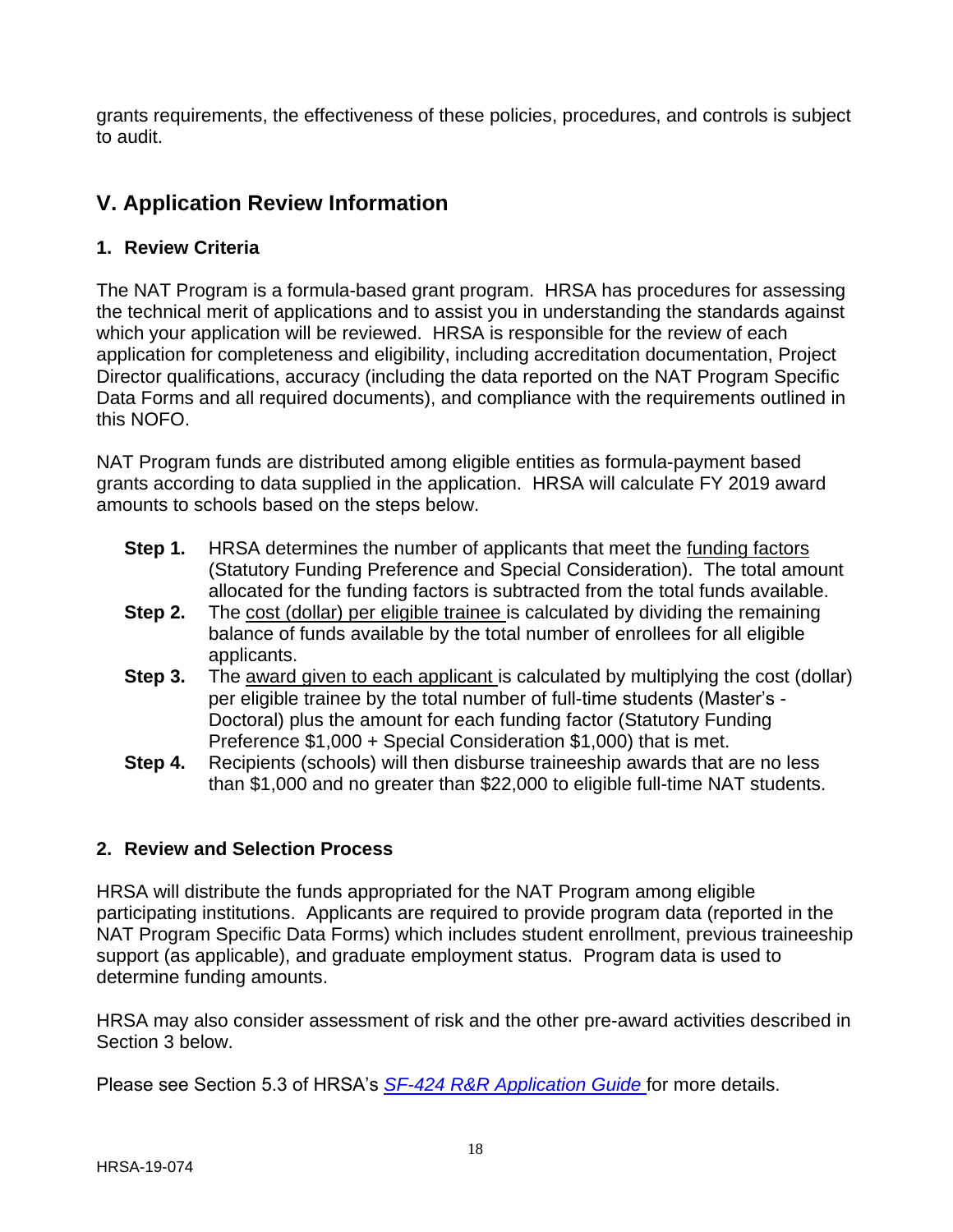grants requirements, the effectiveness of these policies, procedures, and controls is subject to audit.

# <span id="page-21-0"></span>**V. Application Review Information**

## <span id="page-21-1"></span>**1. Review Criteria**

The NAT Program is a formula-based grant program. HRSA has procedures for assessing the technical merit of applications and to assist you in understanding the standards against which your application will be reviewed. HRSA is responsible for the review of each application for completeness and eligibility, including accreditation documentation, Project Director qualifications, accuracy (including the data reported on the NAT Program Specific Data Forms and all required documents), and compliance with the requirements outlined in this NOFO.

NAT Program funds are distributed among eligible entities as formula-payment based grants according to data supplied in the application. HRSA will calculate FY 2019 award amounts to schools based on the steps below.

- **Step 1.** HRSA determines the number of applicants that meet the funding factors (Statutory Funding Preference and Special Consideration). The total amount allocated for the funding factors is subtracted from the total funds available.
- **Step 2.** The cost (dollar) per eligible trainee is calculated by dividing the remaining balance of funds available by the total number of enrollees for all eligible applicants.
- **Step 3.** The award given to each applicant is calculated by multiplying the cost (dollar) per eligible trainee by the total number of full-time students (Master's - Doctoral) plus the amount for each funding factor (Statutory Funding Preference \$1,000 + Special Consideration \$1,000) that is met.
- **Step 4.** Recipients (schools) will then disburse traineeship awards that are no less than \$1,000 and no greater than \$22,000 to eligible full-time NAT students.

## <span id="page-21-2"></span>**2. Review and Selection Process**

HRSA will distribute the funds appropriated for the NAT Program among eligible participating institutions. Applicants are required to provide program data (reported in the NAT Program Specific Data Forms) which includes student enrollment, previous traineeship support (as applicable), and graduate employment status. Program data is used to determine funding amounts.

HRSA may also consider assessment of risk and the other pre-award activities described in Section 3 below.

Please see Section 5.3 of HRSA's *SF-424 [R&R Application Guide](http://www.hrsa.gov/grants/apply/applicationguide/sf424rrguidev2.pdf)* for more details.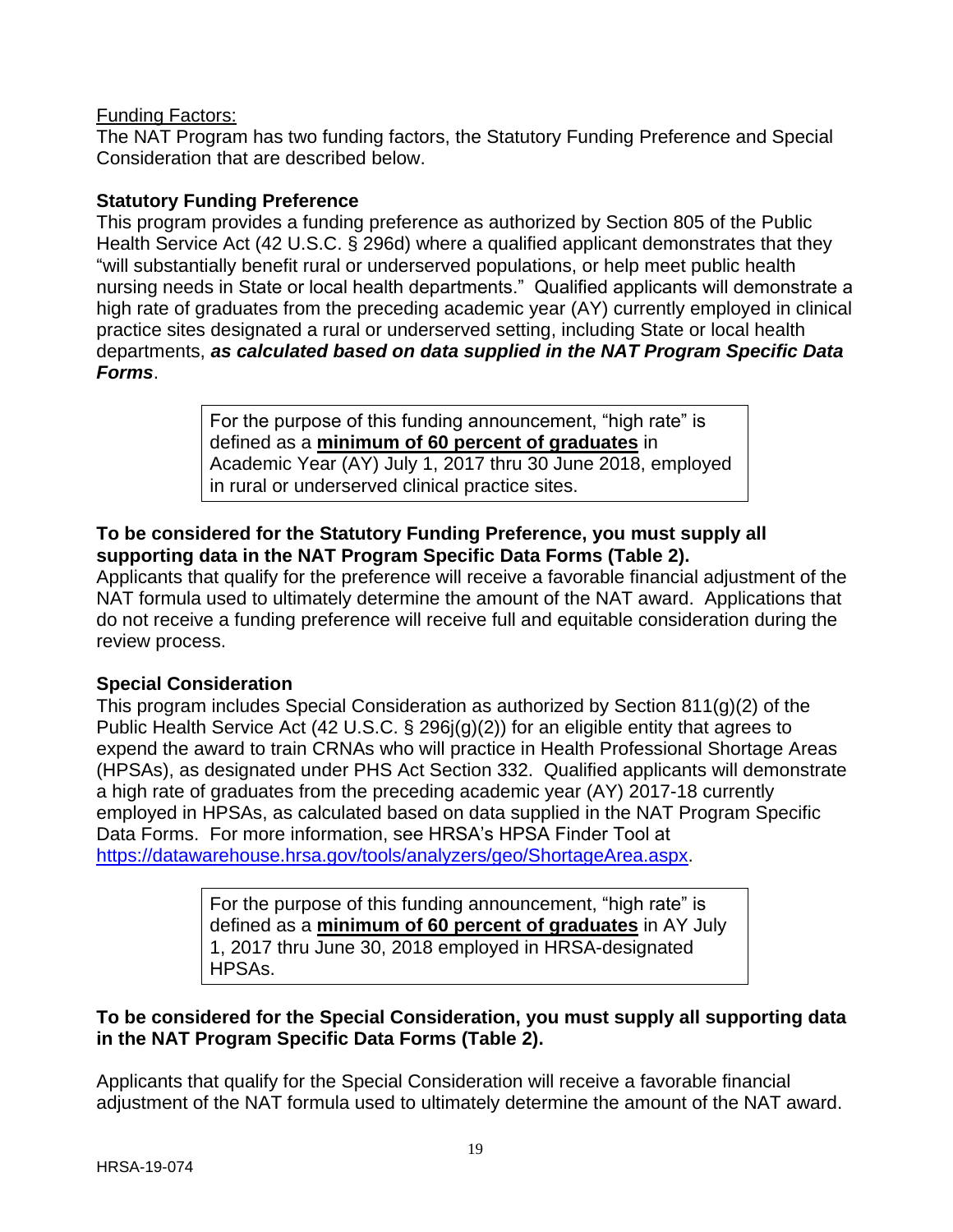#### Funding Factors:

The NAT Program has two funding factors, the Statutory Funding Preference and Special Consideration that are described below.

#### **Statutory Funding Preference**

This program provides a funding preference as authorized by Section 805 of the Public Health Service Act (42 U.S.C. § 296d) where a qualified applicant demonstrates that they "will substantially benefit rural or underserved populations, or help meet public health nursing needs in State or local health departments." Qualified applicants will demonstrate a high rate of graduates from the preceding academic year (AY) currently employed in clinical practice sites designated a rural or underserved setting, including State or local health departments, *as calculated based on data supplied in the NAT Program Specific Data Forms*.

> For the purpose of this funding announcement, "high rate" is defined as a **minimum of 60 percent of graduates** in Academic Year (AY) July 1, 2017 thru 30 June 2018, employed in rural or underserved clinical practice sites.

#### **To be considered for the Statutory Funding Preference, you must supply all supporting data in the NAT Program Specific Data Forms (Table 2).**

Applicants that qualify for the preference will receive a favorable financial adjustment of the NAT formula used to ultimately determine the amount of the NAT award. Applications that do not receive a funding preference will receive full and equitable consideration during the review process.

#### **Special Consideration**

This program includes Special Consideration as authorized by Section 811(g)(2) of the Public Health Service Act (42 U.S.C. § 296j(g)(2)) for an eligible entity that agrees to expend the award to train CRNAs who will practice in Health Professional Shortage Areas (HPSAs), as designated under PHS Act Section 332. Qualified applicants will demonstrate a high rate of graduates from the preceding academic year (AY) 2017-18 currently employed in HPSAs, as calculated based on data supplied in the NAT Program Specific Data Forms. For more information, see HRSA's HPSA Finder Tool at [https://datawarehouse.hrsa.gov/tools/analyzers/geo/ShortageArea.aspx.](https://datawarehouse.hrsa.gov/tools/analyzers/geo/ShortageArea.aspx)

> For the purpose of this funding announcement, "high rate" is defined as a **minimum of 60 percent of graduates** in AY July 1, 2017 thru June 30, 2018 employed in HRSA-designated HPSAs.

#### **To be considered for the Special Consideration, you must supply all supporting data in the NAT Program Specific Data Forms (Table 2).**

Applicants that qualify for the Special Consideration will receive a favorable financial adjustment of the NAT formula used to ultimately determine the amount of the NAT award.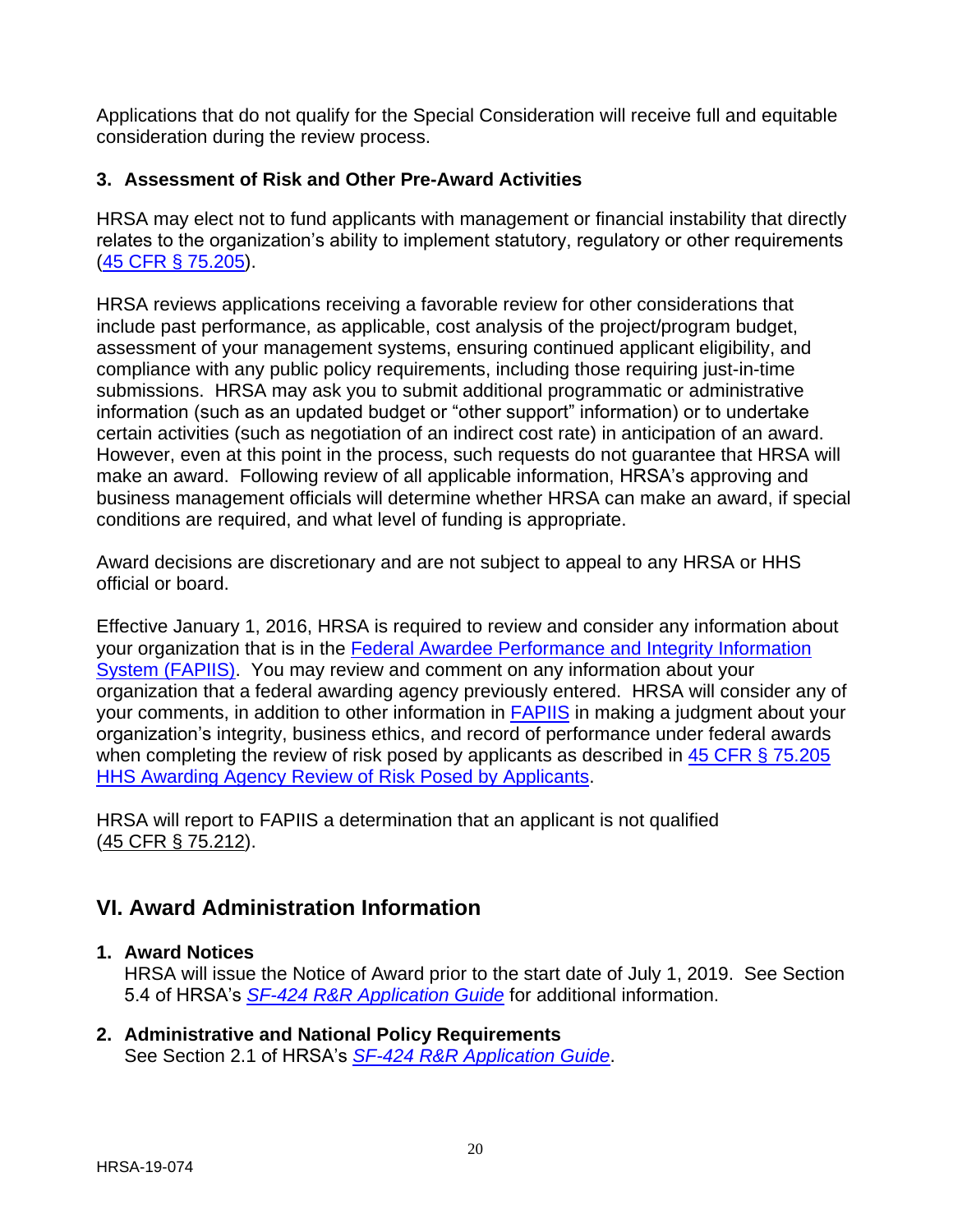Applications that do not qualify for the Special Consideration will receive full and equitable consideration during the review process.

## <span id="page-23-0"></span>**3. Assessment of Risk and Other Pre-Award Activities**

HRSA may elect not to fund applicants with management or financial instability that directly relates to the organization's ability to implement statutory, regulatory or other requirements [\(45 CFR § 75.205\)](http://www.ecfr.gov/cgi-bin/retrieveECFR?gp=1&SID=4d52364ec83fab994c665943dadf9cf7&ty=HTML&h=L&r=PART&n=pt45.1.75#se45.1.75_1205).

HRSA reviews applications receiving a favorable review for other considerations that include past performance, as applicable, cost analysis of the project/program budget, assessment of your management systems, ensuring continued applicant eligibility, and compliance with any public policy requirements, including those requiring just-in-time submissions. HRSA may ask you to submit additional programmatic or administrative information (such as an updated budget or "other support" information) or to undertake certain activities (such as negotiation of an indirect cost rate) in anticipation of an award. However, even at this point in the process, such requests do not guarantee that HRSA will make an award. Following review of all applicable information, HRSA's approving and business management officials will determine whether HRSA can make an award, if special conditions are required, and what level of funding is appropriate.

Award decisions are discretionary and are not subject to appeal to any HRSA or HHS official or board.

Effective January 1, 2016, HRSA is required to review and consider any information about your organization that is in the [Federal Awardee Performance and Integrity Information](https://www.fapiis.gov/)  [System \(FAPIIS\).](https://www.fapiis.gov/) You may review and comment on any information about your organization that a federal awarding agency previously entered. HRSA will consider any of your comments, in addition to other information in [FAPIIS](https://www.fapiis.gov/) in making a judgment about your organization's integrity, business ethics, and record of performance under federal awards when completing the review of risk posed by applicants as described in 45 CFR § 75.205 [HHS Awarding Agency Review of Risk Posed by Applicants.](http://www.ecfr.gov/cgi-bin/text-idx?node=pt45.1.75)

HRSA will report to FAPIIS a determination that an applicant is not qualified [\(45 CFR § 75.212\)](http://www.ecfr.gov/cgi-bin/text-idx?node=pt45.1.75).

# <span id="page-23-1"></span>**VI. Award Administration Information**

## <span id="page-23-2"></span>**1. Award Notices**

HRSA will issue the Notice of Award prior to the start date of July 1, 2019. See Section 5.4 of HRSA's *SF-424 [R&R Application Guide](http://www.hrsa.gov/grants/apply/applicationguide/sf424rrguidev2.pdf)* for additional information.

#### <span id="page-23-3"></span>**2. Administrative and National Policy Requirements** See Section 2.1 of HRSA's *SF-424 [R&R Application Guide](http://www.hrsa.gov/grants/apply/applicationguide/sf424rrguidev2.pdf)*.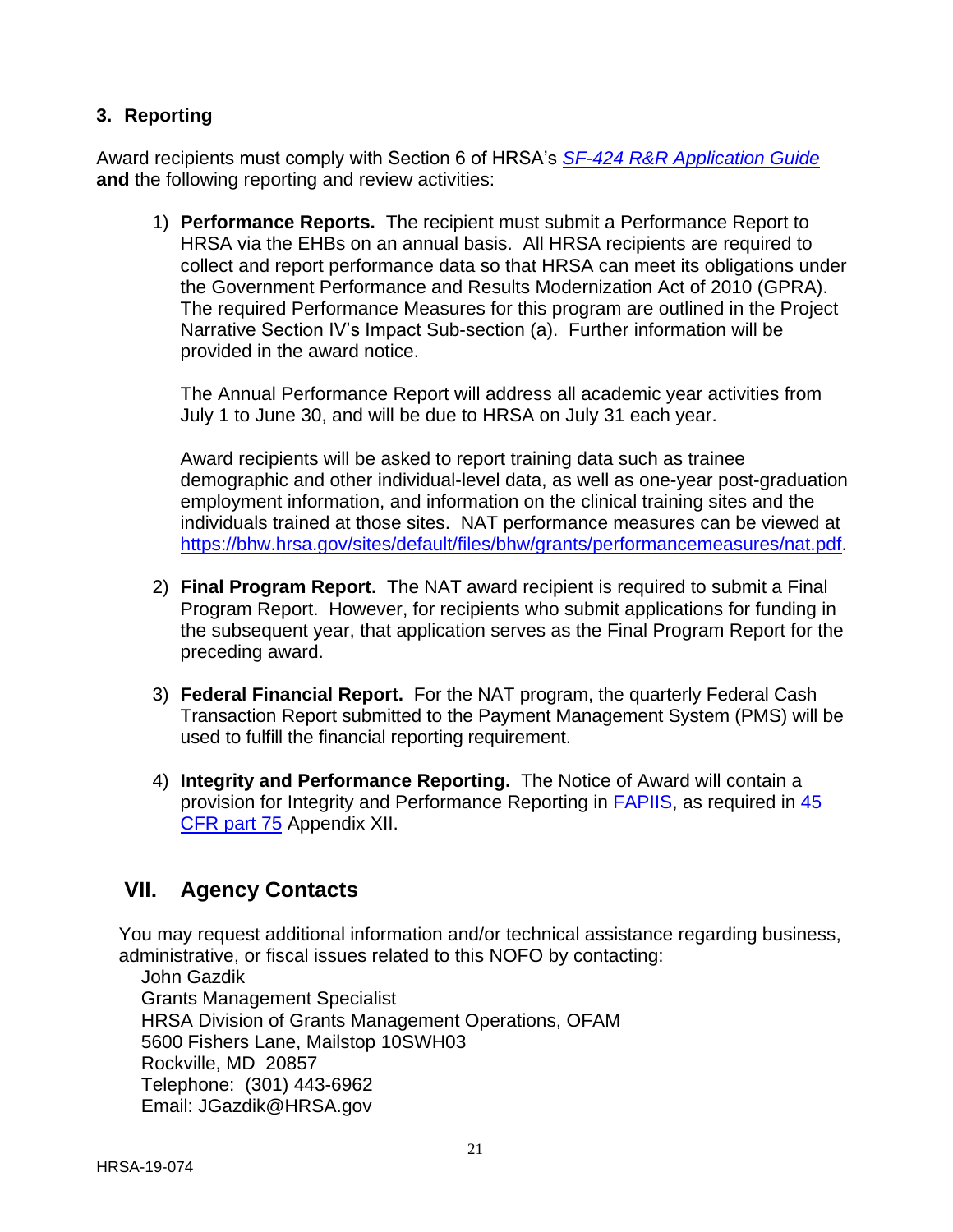## <span id="page-24-0"></span>**3. Reporting**

Award recipients must comply with Section 6 of HRSA's *SF-424 [R&R Application Guide](http://www.hrsa.gov/grants/apply/applicationguide/sf424rrguidev2.pdf)* **and** the following reporting and review activities:

1) **Performance Reports.** The recipient must submit a Performance Report to HRSA via the EHBs on an annual basis. All HRSA recipients are required to collect and report performance data so that HRSA can meet its obligations under the Government Performance and Results Modernization Act of 2010 (GPRA). The required Performance Measures for this program are outlined in the Project Narrative Section IV's Impact Sub-section (a). Further information will be provided in the award notice.

The Annual Performance Report will address all academic year activities from July 1 to June 30, and will be due to HRSA on July 31 each year.

Award recipients will be asked to report training data such as trainee demographic and other individual-level data, as well as one-year post-graduation employment information, and information on the clinical training sites and the individuals trained at those sites. NAT performance measures can be viewed at [https://bhw.hrsa.gov/sites/default/files/bhw/grants/performancemeasures/nat.pdf.](https://bhw.hrsa.gov/sites/default/files/bhw/grants/performancemeasures/nat.pdf)

- 2) **Final Program Report.** The NAT award recipient is required to submit a Final Program Report. However, for recipients who submit applications for funding in the subsequent year, that application serves as the Final Program Report for the preceding award.
- 3) **Federal Financial Report.** For the NAT program, the quarterly Federal Cash Transaction Report submitted to the Payment Management System (PMS) will be used to fulfill the financial reporting requirement.
- 4) **Integrity and Performance Reporting.** The Notice of Award will contain a provision for Integrity and Performance Reporting in **FAPIIS**, as required in  $\frac{45}{10}$ [CFR part 75](http://www.ecfr.gov/cgi-bin/retrieveECFR?gp=1&SID=4d52364ec83fab994c665943dadf9cf7&ty=HTML&h=L&r=PART&n=pt45.1.75%20-%20ap45.1.75_1521.xii) Appendix XII.

## <span id="page-24-1"></span>**VII. Agency Contacts**

You may request additional information and/or technical assistance regarding business, administrative, or fiscal issues related to this NOFO by contacting:

John Gazdik Grants Management Specialist HRSA Division of Grants Management Operations, OFAM 5600 Fishers Lane, Mailstop 10SWH03 Rockville, MD 20857 Telephone: (301) 443-6962 Email: JGazdik@HRSA.gov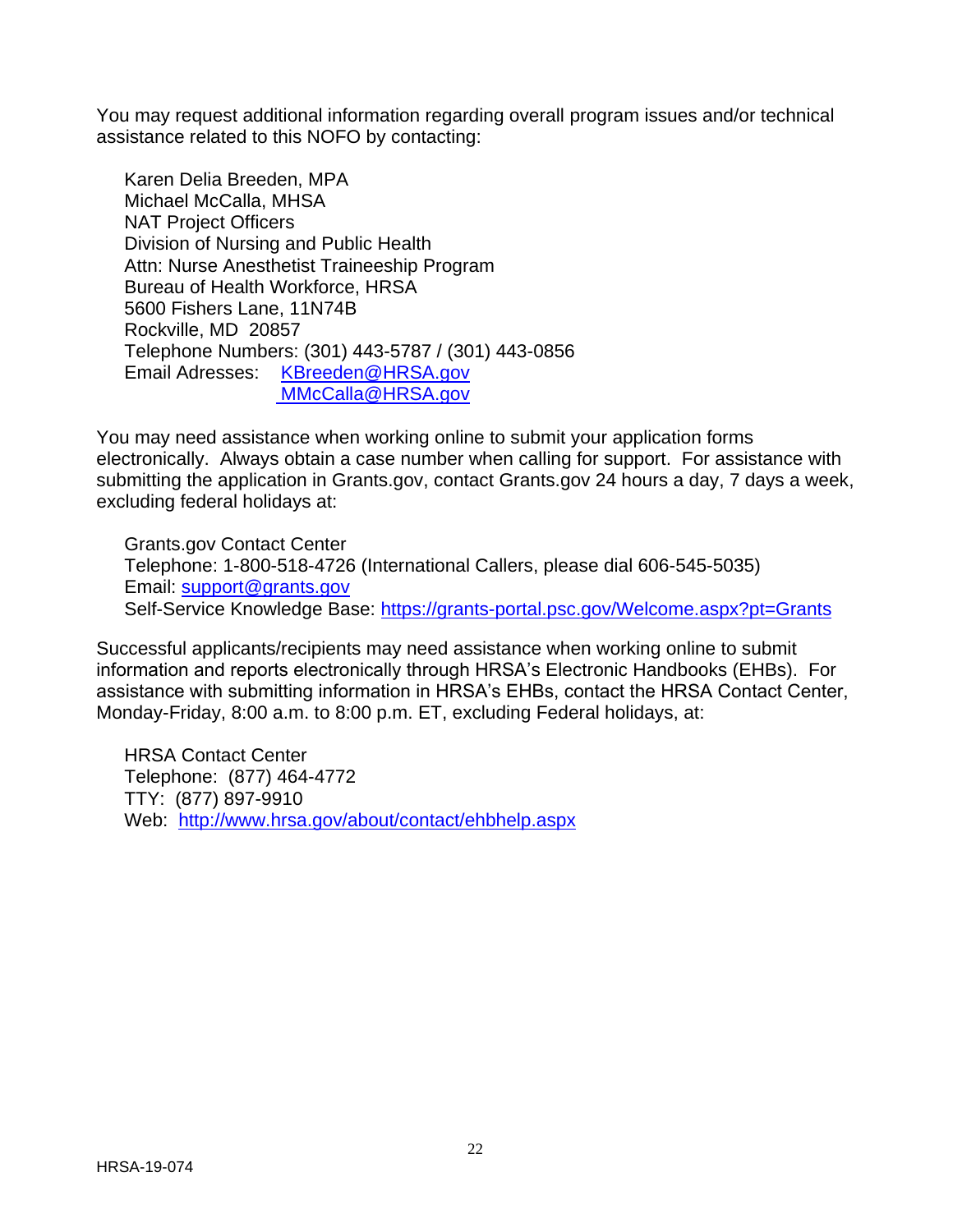You may request additional information regarding overall program issues and/or technical assistance related to this NOFO by contacting:

Karen Delia Breeden, MPA Michael McCalla, MHSA NAT Project Officers Division of Nursing and Public Health Attn: Nurse Anesthetist Traineeship Program Bureau of Health Workforce, HRSA 5600 Fishers Lane, 11N74B Rockville, MD 20857 Telephone Numbers: (301) 443-5787 / (301) 443-0856 Email Adresses: [KBreeden@HRSA.gov](mailto:KBreeden@HRSA.gov) MMcCalla@HRSA.gov

You may need assistance when working online to submit your application forms electronically. Always obtain a case number when calling for support. For assistance with submitting the application in Grants.gov, contact Grants.gov 24 hours a day, 7 days a week, excluding federal holidays at:

Grants.gov Contact Center Telephone: 1-800-518-4726 (International Callers, please dial 606-545-5035) Email: [support@grants.gov](mailto:support@grants.gov) Self-Service Knowledge Base:<https://grants-portal.psc.gov/Welcome.aspx?pt=Grants>

Successful applicants/recipients may need assistance when working online to submit information and reports electronically through HRSA's Electronic Handbooks (EHBs). For assistance with submitting information in HRSA's EHBs, contact the HRSA Contact Center, Monday-Friday, 8:00 a.m. to 8:00 p.m. ET, excluding Federal holidays, at:

HRSA Contact Center Telephone: (877) 464-4772 TTY: (877) 897-9910 Web: <http://www.hrsa.gov/about/contact/ehbhelp.aspx>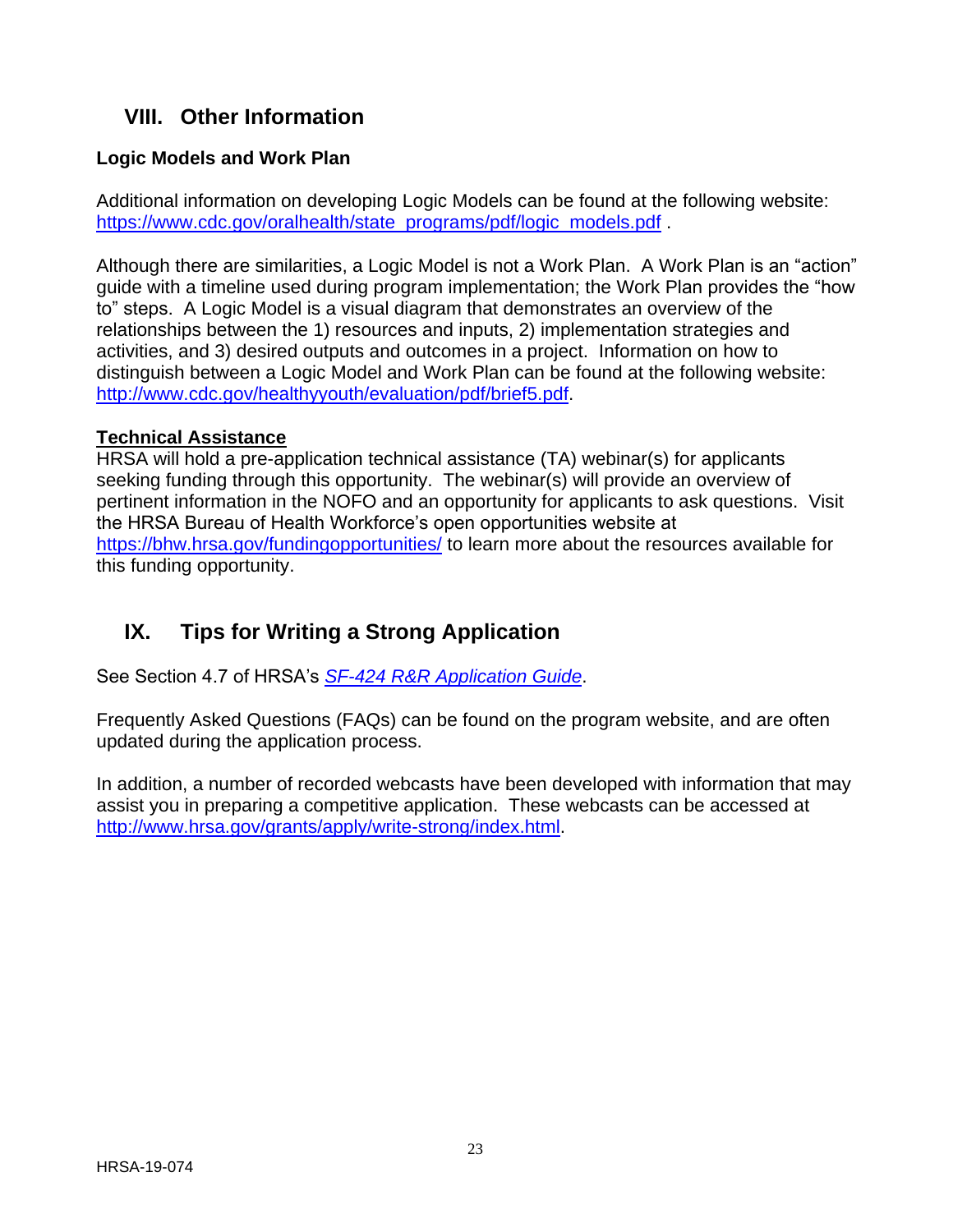# <span id="page-26-0"></span>**VIII. Other Information**

## **Logic Models and Work Plan**

Additional information on developing Logic Models can be found at the following website: [https://www.cdc.gov/oralhealth/state\\_programs/pdf/logic\\_models.pdf](https://www.cdc.gov/oralhealth/state_programs/pdf/logic_models.pdf) .

Although there are similarities, a Logic Model is not a Work Plan. A Work Plan is an "action" guide with a timeline used during program implementation; the Work Plan provides the "how to" steps. A Logic Model is a visual diagram that demonstrates an overview of the relationships between the 1) resources and inputs, 2) implementation strategies and activities, and 3) desired outputs and outcomes in a project. Information on how to distinguish between a Logic Model and Work Plan can be found at the following website: [http://www.cdc.gov/healthyyouth/evaluation/pdf/brief5.pdf.](http://www.cdc.gov/healthyyouth/evaluation/pdf/brief5.pdf)

#### **Technical Assistance**

HRSA will hold a pre-application technical assistance (TA) webinar(s) for applicants seeking funding through this opportunity. The webinar(s) will provide an overview of pertinent information in the NOFO and an opportunity for applicants to ask questions. Visit the HRSA Bureau of Health Workforce's open opportunities website at <https://bhw.hrsa.gov/fundingopportunities/> to learn more about the resources available for this funding opportunity.

# <span id="page-26-1"></span>**IX. Tips for Writing a Strong Application**

See Section 4.7 of HRSA's *SF-424 [R&R Application Guide](http://www.hrsa.gov/grants/apply/applicationguide/sf424rrguidev2.pdf)*.

Frequently Asked Questions (FAQs) can be found on the program website, and are often updated during the application process.

In addition, a number of recorded webcasts have been developed with information that may assist you in preparing a competitive application. These webcasts can be accessed at <http://www.hrsa.gov/grants/apply/write-strong/index.html.>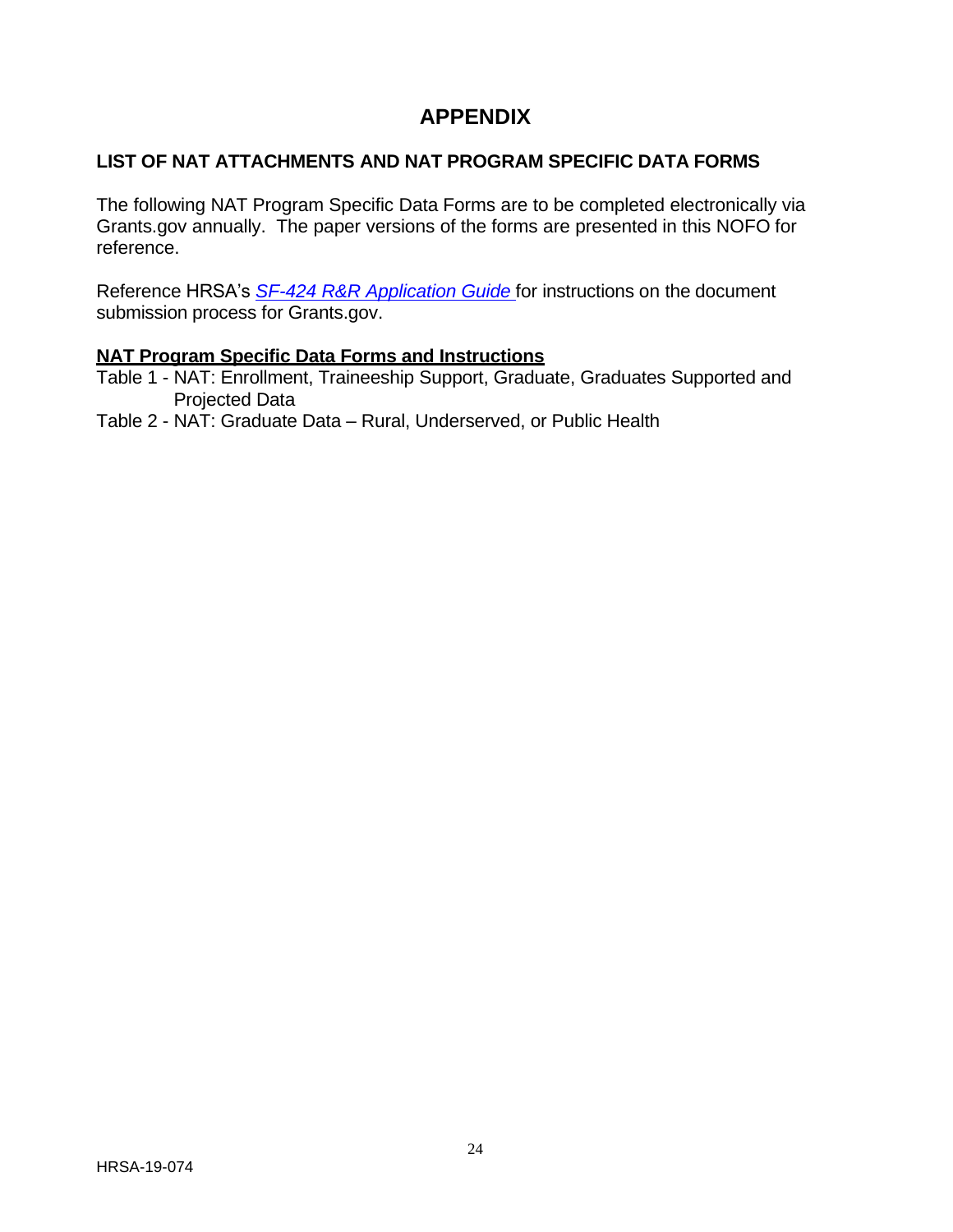# **APPENDIX**

## <span id="page-27-0"></span>**LIST OF NAT ATTACHMENTS AND NAT PROGRAM SPECIFIC DATA FORMS**

The following NAT Program Specific Data Forms are to be completed electronically via Grants.gov annually. The paper versions of the forms are presented in this NOFO for reference.

Reference HRSA's *SF-424 R&R [Application](http://www.hrsa.gov/grants/apply/applicationguide/sf424rrguidev2.pdf) Guide* for instructions on the document submission process for Grants.gov.

#### **NAT Program Specific Data Forms and Instructions**

- Table 1 NAT: Enrollment, Traineeship Support, Graduate, Graduates Supported and Projected Data
- Table 2 NAT: Graduate Data Rural, Underserved, or Public Health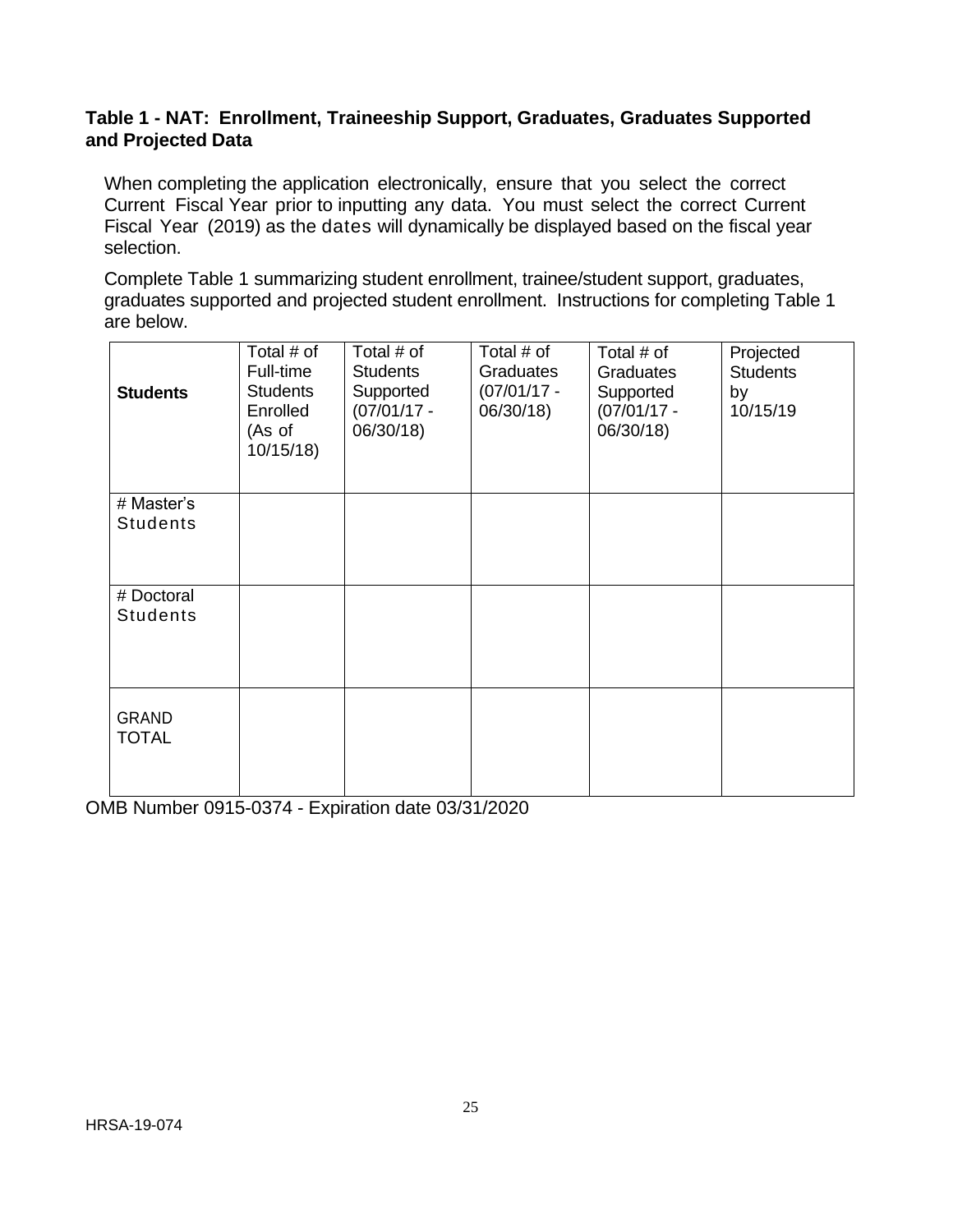#### **Table 1 - NAT: Enrollment, Traineeship Support, Graduates, Graduates Supported and Projected Data**

When completing the application electronically, ensure that you select the correct Current Fiscal Year prior to inputting any data. You must select the correct Current Fiscal Year (2019) as the dates will dynamically be displayed based on the fiscal year selection.

Complete Table 1 summarizing student enrollment, trainee/student support, graduates, graduates supported and projected student enrollment. Instructions for completing Table 1 are below.

| <b>Students</b>               | Total # of<br>Full-time<br><b>Students</b><br>Enrolled<br>(As of<br>10/15/18 | Total # of<br><b>Students</b><br>Supported<br>$(07/01/17 -$<br>06/30/18) | Total # of<br>Graduates<br>$(07/01/17 -$<br>06/30/18) | Total # of<br>Graduates<br>Supported<br>$(07/01/17 -$<br>06/30/18) | Projected<br><b>Students</b><br>by<br>10/15/19 |
|-------------------------------|------------------------------------------------------------------------------|--------------------------------------------------------------------------|-------------------------------------------------------|--------------------------------------------------------------------|------------------------------------------------|
| # Master's                    |                                                                              |                                                                          |                                                       |                                                                    |                                                |
| <b>Students</b>               |                                                                              |                                                                          |                                                       |                                                                    |                                                |
| # Doctoral<br><b>Students</b> |                                                                              |                                                                          |                                                       |                                                                    |                                                |
| <b>GRAND</b><br><b>TOTAL</b>  |                                                                              |                                                                          |                                                       |                                                                    |                                                |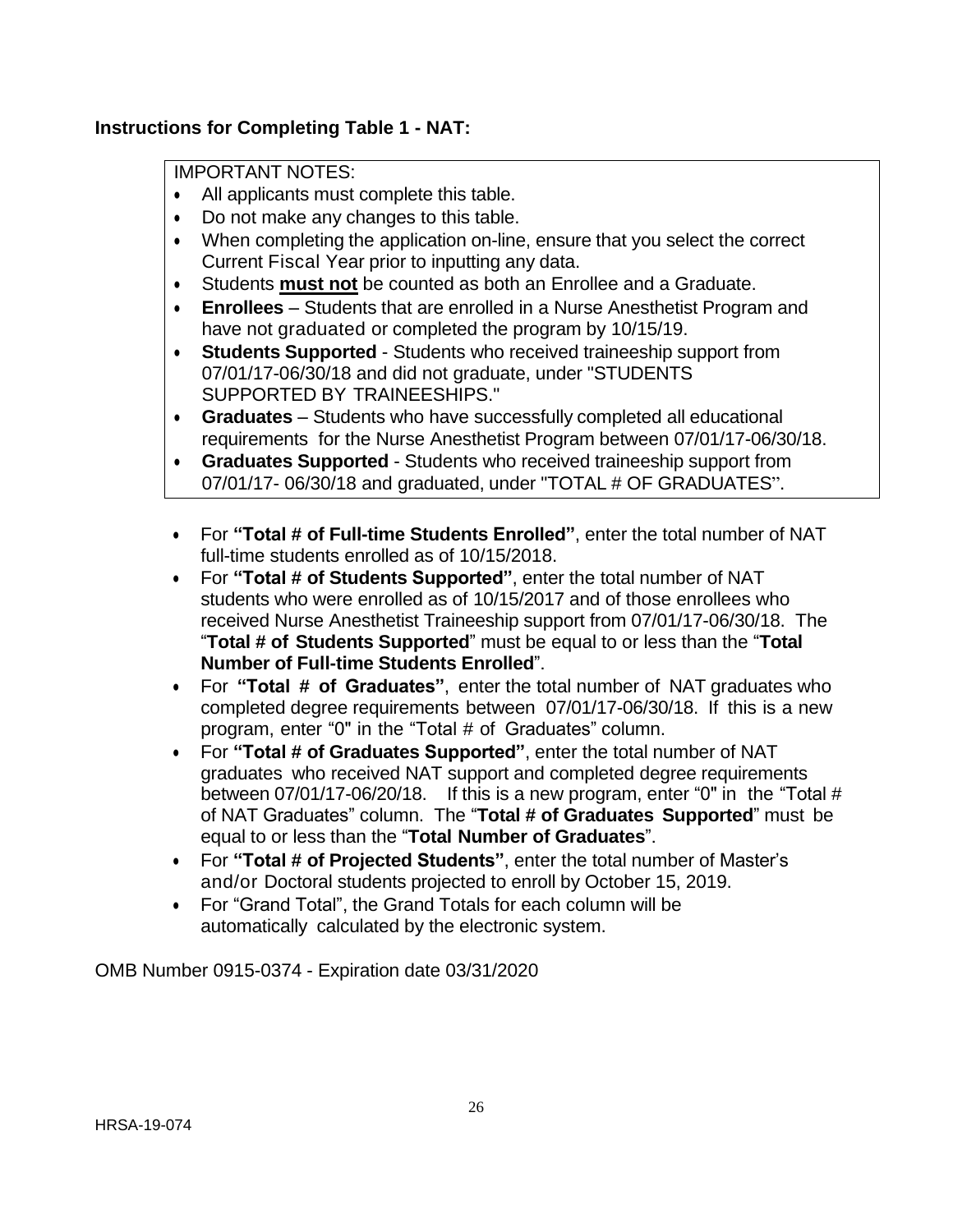## **Instructions for Completing Table 1 - NAT:**

#### IMPORTANT NOTES:

- All applicants must complete this table.
- Do not make any changes to this table.
- When completing the application on-line, ensure that you select the correct Current Fiscal Year prior to inputting any data.
- Students **must not** be counted as both an Enrollee and a Graduate.
- **Enrollees** Students that are enrolled in a Nurse Anesthetist Program and have not graduated or completed the program by 10/15/19.
- **Students Supported** Students who received traineeship support from 07/01/17-06/30/18 and did not graduate, under "STUDENTS SUPPORTED BY TRAINEESHIPS."
- **Graduates** Students who have successfully completed all educational requirements for the Nurse Anesthetist Program between 07/01/17-06/30/18.
- **Graduates Supported** Students who received traineeship support from 07/01/17- 06/30/18 and graduated, under "TOTAL # OF GRADUATES".
- For **"Total # of Full-time Students Enrolled"**, enter the total number of NAT full-time students enrolled as of 10/15/2018.
- For **"Total # of Students Supported"**, enter the total number of NAT students who were enrolled as of 10/15/2017 and of those enrollees who received Nurse Anesthetist Traineeship support from 07/01/17-06/30/18. The "**Total # of Students Supported**" must be equal to or less than the "**Total Number of Full-time Students Enrolled**".
- For **"Total # of Graduates"**, enter the total number of NAT graduates who completed degree requirements between 07/01/17-06/30/18. If this is a new program, enter "0" in the "Total # of Graduates" column.
- For **"Total # of Graduates Supported"**, enter the total number of NAT graduates who received NAT support and completed degree requirements between 07/01/17-06/20/18. If this is a new program, enter "0" in the "Total # of NAT Graduates" column. The "**Total # of Graduates Supported**" must be equal to or less than the "**Total Number of Graduates**".
- For **"Total # of Projected Students"**, enter the total number of Master's and/or Doctoral students projected to enroll by October 15, 2019.
- For "Grand Total", the Grand Totals for each column will be automatically calculated by the electronic system.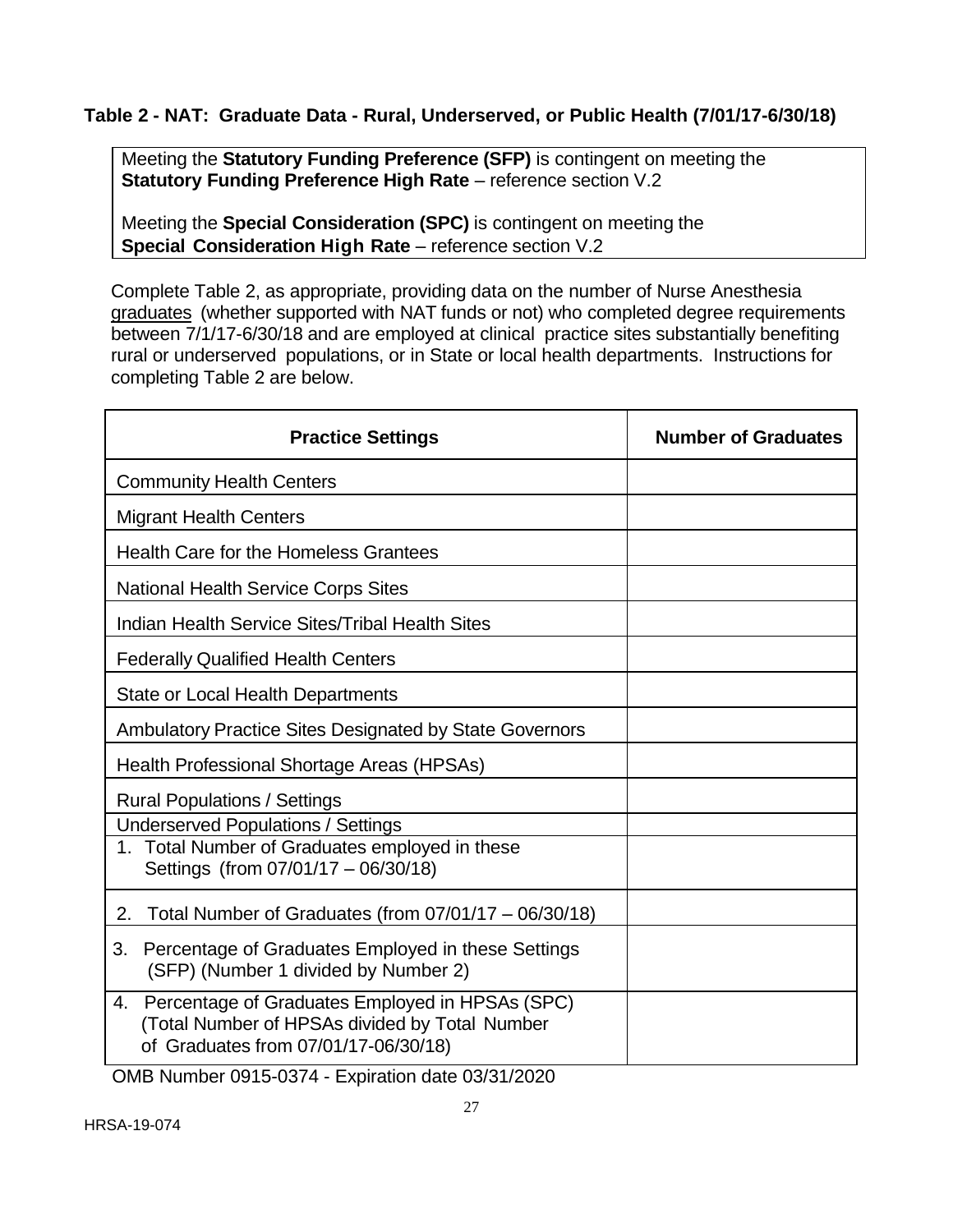## **Table 2 - NAT: Graduate Data - Rural, Underserved, or Public Health (7/01/17-6/30/18)**

Meeting the **Statutory Funding Preference (SFP)** is contingent on meeting the **Statutory Funding Preference High Rate** – reference section V.2

Meeting the **Special Consideration (SPC)** is contingent on meeting the **Special Consideration High Rate** – reference section V.2

Complete Table 2, as appropriate, providing data on the number of Nurse Anesthesia graduates (whether supported with NAT funds or not) who completed degree requirements between 7/1/17-6/30/18 and are employed at clinical practice sites substantially benefiting rural or underserved populations, or in State or local health departments. Instructions for completing Table 2 are below.

| <b>Practice Settings</b>                                                                                                                        | <b>Number of Graduates</b> |  |
|-------------------------------------------------------------------------------------------------------------------------------------------------|----------------------------|--|
| <b>Community Health Centers</b>                                                                                                                 |                            |  |
| <b>Migrant Health Centers</b>                                                                                                                   |                            |  |
| <b>Health Care for the Homeless Grantees</b>                                                                                                    |                            |  |
| <b>National Health Service Corps Sites</b>                                                                                                      |                            |  |
| Indian Health Service Sites/Tribal Health Sites                                                                                                 |                            |  |
| <b>Federally Qualified Health Centers</b>                                                                                                       |                            |  |
| <b>State or Local Health Departments</b>                                                                                                        |                            |  |
| <b>Ambulatory Practice Sites Designated by State Governors</b>                                                                                  |                            |  |
| Health Professional Shortage Areas (HPSAs)                                                                                                      |                            |  |
| <b>Rural Populations / Settings</b>                                                                                                             |                            |  |
| <b>Underserved Populations / Settings</b>                                                                                                       |                            |  |
| 1. Total Number of Graduates employed in these<br>Settings (from 07/01/17 - 06/30/18)                                                           |                            |  |
| Total Number of Graduates (from $07/01/17 - 06/30/18$ )<br>2.                                                                                   |                            |  |
| Percentage of Graduates Employed in these Settings<br>3.<br>(SFP) (Number 1 divided by Number 2)                                                |                            |  |
| Percentage of Graduates Employed in HPSAs (SPC)<br>4.<br>(Total Number of HPSAs divided by Total Number<br>of Graduates from 07/01/17-06/30/18) |                            |  |